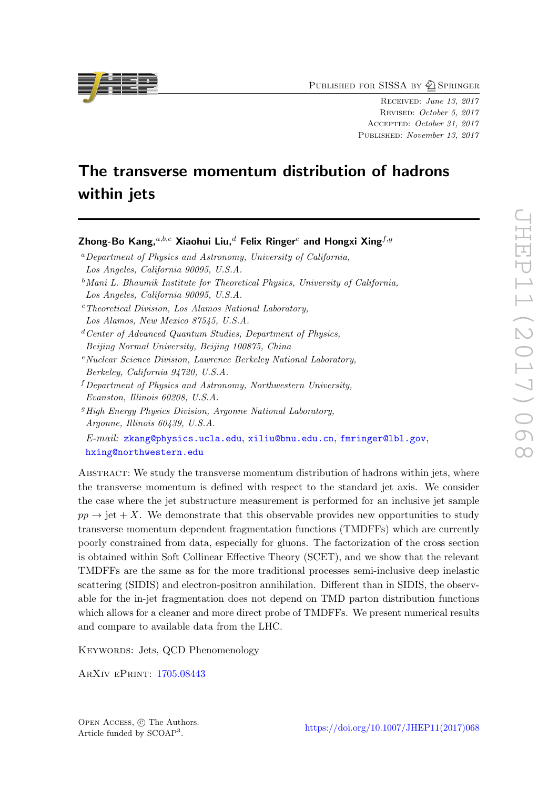PUBLISHED FOR SISSA BY 2 SPRINGER

Received: June 13, 2017 Revised: October 5, 2017 Accepted: October 31, 2017 Published: November 13, 2017

# The transverse momentum distribution of hadrons within jets

Los Angeles, California 90095, U.S.A.  $c$ <sup>c</sup>Theoretical Division, Los Alamos National Laboratory, Los Alamos, New Mexico 87545, U.S.A.  $d$  Center of Advanced Quantum Studies, Department of Physics, Beijing Normal University, Beijing 100875, China  $e<sup>e</sup> Nuclear Science Division, Lawrence Berkeley National Laboratory,$ Berkeley, California 94720, U.S.A.  $f$  Department of Physics and Astronomy, Northwestern University, Evanston, Illinois 60208, U.S.A.  ${}^{g}$ High Energy Physics Division, Argonne National Laboratory, Argonne, Illinois 60439, U.S.A. E-mail: [zkang@physics.ucla.edu](mailto:zkang@physics.ucla.edu), [xiliu@bnu.edu.cn](mailto:xiliu@bnu.edu.cn), [fmringer@lbl.gov](mailto:fmringer@lbl.gov),

Zhong-Bo Kang,  $a,b,c$  Xiaohui Liu,  $d$  Felix Ringer<sup>e</sup> and Hongxi Xing $f,g$ 

 $b$ Mani L. Bhaumik Institute for Theoretical Physics, University of California,

 ${}^a$ Department of Physics and Astronomy, University of California,

Los Angeles, California 90095, U.S.A.

[hxing@northwestern.edu](mailto:hxing@northwestern.edu)

ABSTRACT: We study the transverse momentum distribution of hadrons within jets, where the transverse momentum is defined with respect to the standard jet axis. We consider the case where the jet substructure measurement is performed for an inclusive jet sample  $pp \rightarrow jet + X$ . We demonstrate that this observable provides new opportunities to study transverse momentum dependent fragmentation functions (TMDFFs) which are currently poorly constrained from data, especially for gluons. The factorization of the cross section is obtained within Soft Collinear Effective Theory (SCET), and we show that the relevant TMDFFs are the same as for the more traditional processes semi-inclusive deep inelastic scattering (SIDIS) and electron-positron annihilation. Different than in SIDIS, the observable for the in-jet fragmentation does not depend on TMD parton distribution functions which allows for a cleaner and more direct probe of TMDFFs. We present numerical results and compare to available data from the LHC.

KEYWORDS: Jets, QCD Phenomenology

ArXiv ePrint: [1705.08443](https://arxiv.org/abs/1705.08443)

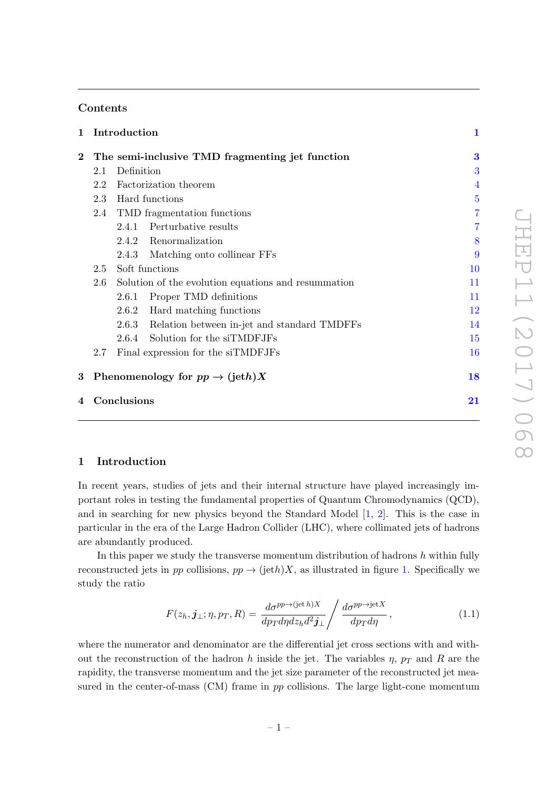# Contents

| 1                |                                            | Introduction                                        | 1              |
|------------------|--------------------------------------------|-----------------------------------------------------|----------------|
| $\bf{2}$         |                                            | The semi-inclusive TMD fragmenting jet function     | 3              |
|                  | 2.1                                        | Definition                                          | 3              |
|                  | 2.2                                        | Factorization theorem                               | $\overline{4}$ |
|                  | 2.3                                        | Hard functions                                      | $\overline{5}$ |
|                  |                                            | 2.4 TMD fragmentation functions                     | 7              |
|                  |                                            | 2.4.1 Perturbative results                          | 7              |
|                  |                                            | 2.4.2 Renormalization                               | 8              |
|                  |                                            | Matching onto collinear FFs<br>2.4.3                | 9              |
|                  | 2.5                                        | Soft functions                                      | 10             |
|                  | 2.6                                        | Solution of the evolution equations and resummation | 11             |
|                  |                                            | Proper TMD definitions<br>2.6.1                     | 11             |
|                  |                                            | 2.6.2 Hard matching functions                       | 12             |
|                  |                                            | 2.6.3 Relation between in-jet and standard TMDFFs   | 14             |
|                  |                                            | 2.6.4 Solution for the siTMDFJFs                    | 15             |
|                  | 2.7                                        | Final expression for the siTMDFJFs                  | 16             |
| 3                | Phenomenology for $pp \to (\text{jet} h)X$ |                                                     |                |
| Conclusions<br>4 |                                            |                                                     | 21             |

# <span id="page-1-0"></span>1 Introduction

In recent years, studies of jets and their internal structure have played increasingly important roles in testing the fundamental properties of Quantum Chromodynamics (QCD), and in searching for new physics beyond the Standard Model [\[1,](#page-23-0) [2\]](#page-23-1). This is the case in particular in the era of the Large Hadron Collider (LHC), where collimated jets of hadrons are abundantly produced.

In this paper we study the transverse momentum distribution of hadrons  $h$  within fully reconstructed jets in pp collisions,  $pp \rightarrow (jeth)X$ , as illustrated in figure [1.](#page-2-0) Specifically we study the ratio

$$
F(z_h, j_{\perp}; \eta, p_T, R) = \frac{d\sigma^{pp \to (jet h)X}}{dp_T dp dz_h d^2 j_{\perp}} / \frac{d\sigma^{pp \to jet X}}{dp_T dp} , \qquad (1.1)
$$

where the numerator and denominator are the differential jet cross sections with and without the reconstruction of the hadron h inside the jet. The variables  $\eta$ ,  $p_T$  and R are the rapidity, the transverse momentum and the jet size parameter of the reconstructed jet measured in the center-of-mass (CM) frame in pp collisions. The large light-cone momentum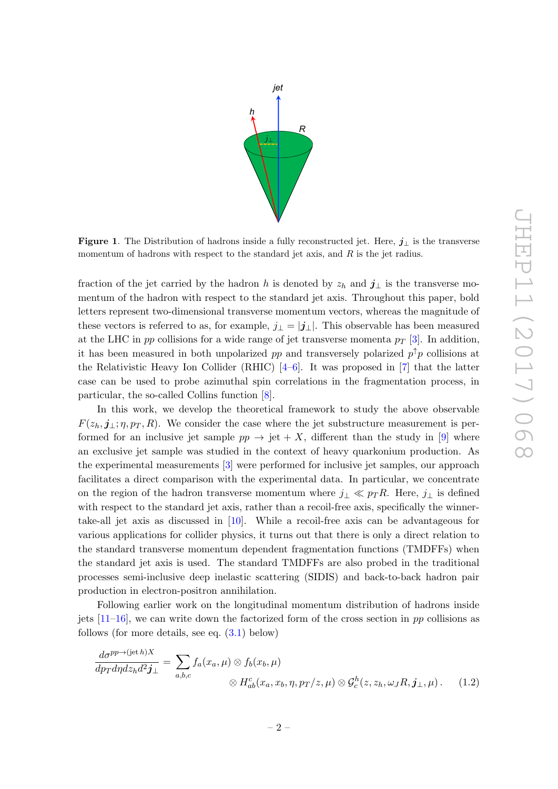

<span id="page-2-0"></span>Figure 1. The Distribution of hadrons inside a fully reconstructed jet. Here,  $j_{\perp}$  is the transverse momentum of hadrons with respect to the standard jet axis, and  $R$  is the jet radius.

fraction of the jet carried by the hadron h is denoted by  $z_h$  and  $j_{\perp}$  is the transverse momentum of the hadron with respect to the standard jet axis. Throughout this paper, bold letters represent two-dimensional transverse momentum vectors, whereas the magnitude of these vectors is referred to as, for example,  $j_{\perp} = |\mathbf{j}_{\perp}|$ . This observable has been measured at the LHC in pp collisions for a wide range of jet transverse momenta  $p_T$  [\[3\]](#page-23-2). In addition, it has been measured in both unpolarized pp and transversely polarized  $p^{\uparrow}p$  collisions at the Relativistic Heavy Ion Collider (RHIC)  $[4-6]$  $[4-6]$ . It was proposed in [\[7\]](#page-23-5) that the latter case can be used to probe azimuthal spin correlations in the fragmentation process, in particular, the so-called Collins function [\[8\]](#page-23-6).

In this work, we develop the theoretical framework to study the above observable  $F(z_h, j_\perp; \eta, p_T, R)$ . We consider the case where the jet substructure measurement is performed for an inclusive jet sample  $pp \rightarrow jet + X$ , different than the study in [\[9\]](#page-23-7) where an exclusive jet sample was studied in the context of heavy quarkonium production. As the experimental measurements [\[3\]](#page-23-2) were performed for inclusive jet samples, our approach facilitates a direct comparison with the experimental data. In particular, we concentrate on the region of the hadron transverse momentum where  $j_{\perp} \ll p_{T} R$ . Here,  $j_{\perp}$  is defined with respect to the standard jet axis, rather than a recoil-free axis, specifically the winnertake-all jet axis as discussed in [\[10\]](#page-23-8). While a recoil-free axis can be advantageous for various applications for collider physics, it turns out that there is only a direct relation to the standard transverse momentum dependent fragmentation functions (TMDFFs) when the standard jet axis is used. The standard TMDFFs are also probed in the traditional processes semi-inclusive deep inelastic scattering (SIDIS) and back-to-back hadron pair production in electron-positron annihilation.

Following earlier work on the longitudinal momentum distribution of hadrons inside jets  $[11-16]$ , we can write down the factorized form of the cross section in pp collisions as follows (for more details, see eq.  $(3.1)$  below)

<span id="page-2-1"></span>
$$
\frac{d\sigma^{pp\to (jet\,h)X}}{dp_T dp dz_h d^2 \mathbf{j}_\perp} = \sum_{a,b,c} f_a(x_a,\mu) \otimes f_b(x_b,\mu) \otimes H_{ab}^c(x_a, x_b, \eta, p_T/z, \mu) \otimes \mathcal{G}_c^h(z, z_h, \omega_J R, \mathbf{j}_\perp, \mu).
$$
(1.2)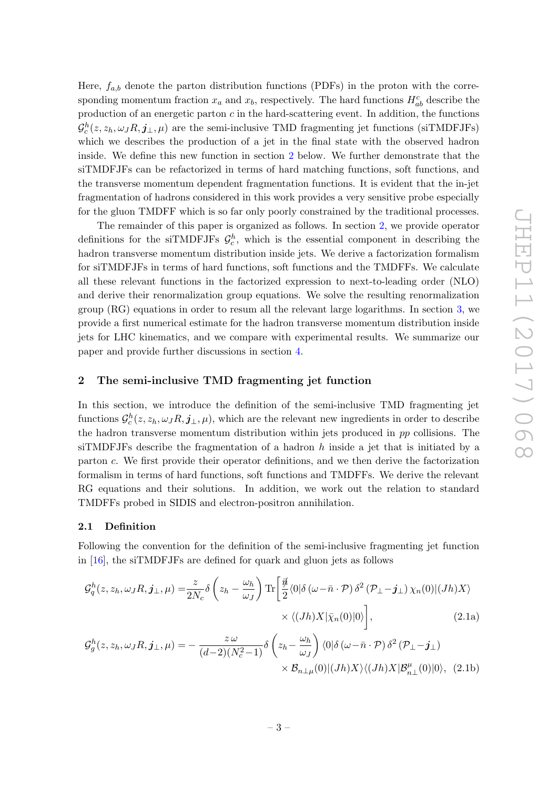Here,  $f_{a,b}$  denote the parton distribution functions (PDFs) in the proton with the corresponding momentum fraction  $x_a$  and  $x_b$ , respectively. The hard functions  $H_{ab}^c$  describe the production of an energetic parton  $c$  in the hard-scattering event. In addition, the functions  $\mathcal{G}_c^h(z, z_h, \omega_J R, \mathbf{j}_{\perp}, \mu)$  are the semi-inclusive TMD fragmenting jet functions (siTMDFJFs) which we describes the production of a jet in the final state with the observed hadron inside. We define this new function in section [2](#page-3-0) below. We further demonstrate that the siTMDFJFs can be refactorized in terms of hard matching functions, soft functions, and the transverse momentum dependent fragmentation functions. It is evident that the in-jet fragmentation of hadrons considered in this work provides a very sensitive probe especially for the gluon TMDFF which is so far only poorly constrained by the traditional processes.

The remainder of this paper is organized as follows. In section [2,](#page-3-0) we provide operator definitions for the siTMDFJFs  $\mathcal{G}_c^h$ , which is the essential component in describing the hadron transverse momentum distribution inside jets. We derive a factorization formalism for siTMDFJFs in terms of hard functions, soft functions and the TMDFFs. We calculate all these relevant functions in the factorized expression to next-to-leading order (NLO) and derive their renormalization group equations. We solve the resulting renormalization group (RG) equations in order to resum all the relevant large logarithms. In section [3,](#page-18-0) we provide a first numerical estimate for the hadron transverse momentum distribution inside jets for LHC kinematics, and we compare with experimental results. We summarize our paper and provide further discussions in section [4.](#page-21-0)

### <span id="page-3-0"></span>2 The semi-inclusive TMD fragmenting jet function

In this section, we introduce the definition of the semi-inclusive TMD fragmenting jet functions  $\mathcal{G}_c^h(z, z_h, \omega_J R, j_\perp, \mu)$ , which are the relevant new ingredients in order to describe the hadron transverse momentum distribution within jets produced in pp collisions. The siTMDFJFs describe the fragmentation of a hadron  $h$  inside a jet that is initiated by a parton c. We first provide their operator definitions, and we then derive the factorization formalism in terms of hard functions, soft functions and TMDFFs. We derive the relevant RG equations and their solutions. In addition, we work out the relation to standard TMDFFs probed in SIDIS and electron-positron annihilation.

#### <span id="page-3-1"></span>2.1 Definition

Following the convention for the definition of the semi-inclusive fragmenting jet function in [\[16\]](#page-23-10), the siTMDFJFs are defined for quark and gluon jets as follows

<span id="page-3-2"></span>
$$
\mathcal{G}_q^h(z, z_h, \omega_J R, \mathbf{j}_{\perp}, \mu) = \frac{z}{2N_c} \delta\left(z_h - \frac{\omega_h}{\omega_J}\right) \text{Tr}\left[\frac{\vec{\psi}}{2} \langle 0|\delta(\omega - \bar{n} \cdot \mathcal{P}) \delta^2(\mathcal{P}_{\perp} - \mathbf{j}_{\perp}) \chi_n(0)| (Jh) X \rangle \times \langle (Jh) X|\bar{\chi}_n(0)|0 \rangle\right],
$$
\n
$$
\mathcal{G}_g^h(z, z_h, \omega_J R, \mathbf{j}_{\perp}, \mu) = -\frac{z \omega}{(d-2)(N_c^2 - 1)} \delta\left(z_h - \frac{\omega_h}{\omega_J}\right) \langle 0|\delta(\omega - \bar{n} \cdot \mathcal{P}) \delta^2(\mathcal{P}_{\perp} - \mathbf{j}_{\perp}) \times \mathcal{B}_{n\perp\mu}(0)| (Jh) X \rangle \langle (Jh) X|\mathcal{B}_{n\perp}^{\mu}(0)|0 \rangle, \tag{2.1b}
$$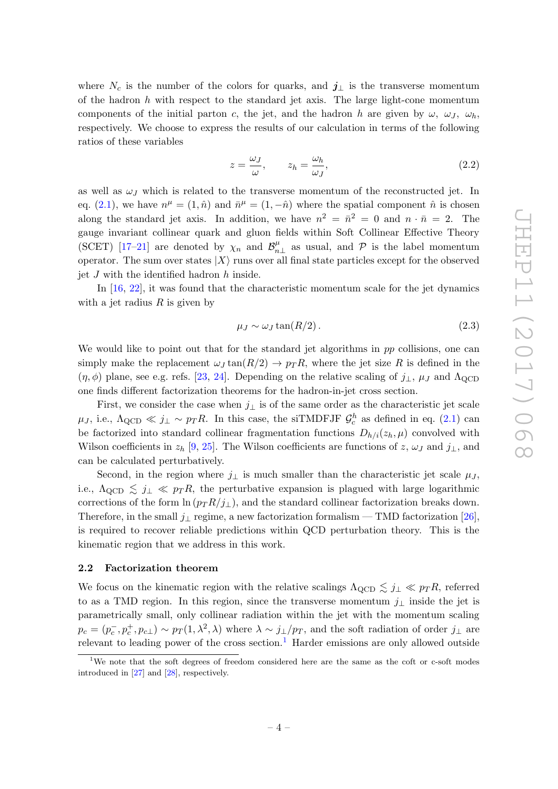where  $N_c$  is the number of the colors for quarks, and  $j_{\perp}$  is the transverse momentum of the hadron  $h$  with respect to the standard jet axis. The large light-cone momentum components of the initial parton c, the jet, and the hadron h are given by  $\omega$ ,  $\omega$ ,  $\omega$ , respectively. We choose to express the results of our calculation in terms of the following ratios of these variables

$$
z = \frac{\omega_J}{\omega}, \qquad z_h = \frac{\omega_h}{\omega_J}, \tag{2.2}
$$

as well as  $\omega$ <sub>J</sub> which is related to the transverse momentum of the reconstructed jet. In eq. [\(2.1\)](#page-3-2), we have  $n^{\mu} = (1, \hat{n})$  and  $\bar{n}^{\mu} = (1, -\hat{n})$  where the spatial component  $\hat{n}$  is chosen along the standard jet axis. In addition, we have  $n^2 = \bar{n}^2 = 0$  and  $n \cdot \bar{n} = 2$ . The gauge invariant collinear quark and gluon fields within Soft Collinear Effective Theory (SCET) [\[17](#page-23-11)-21] are denoted by  $\chi_n$  and  $\mathcal{B}_n^{\mu}$  $\mu_{n\perp}$  as usual, and  $\mathcal{P}$  is the label momentum operator. The sum over states  $|X\rangle$  runs over all final state particles except for the observed jet  $J$  with the identified hadron  $h$  inside.

In [\[16,](#page-23-10) [22\]](#page-24-1), it was found that the characteristic momentum scale for the jet dynamics with a jet radius  $R$  is given by

<span id="page-4-2"></span>
$$
\mu_J \sim \omega_J \tan(R/2). \tag{2.3}
$$

We would like to point out that for the standard jet algorithms in pp collisions, one can simply make the replacement  $\omega_J \tan(R/2) \rightarrow p_T R$ , where the jet size R is defined in the  $(\eta, \phi)$  plane, see e.g. refs. [\[23,](#page-24-2) [24\]](#page-24-3). Depending on the relative scaling of  $j_{\perp}, \mu_{J}$  and  $\Lambda_{\text{QCD}}$ one finds different factorization theorems for the hadron-in-jet cross section.

First, we consider the case when  $j_{\perp}$  is of the same order as the characteristic jet scale  $\mu_J$ , i.e.,  $\Lambda_{\rm QCD} \ll j_\perp \sim p_T R$ . In this case, the siTMDFJF  $\mathcal{G}_c^h$  as defined in eq. [\(2.1\)](#page-3-2) can be factorized into standard collinear fragmentation functions  $D_{h/i}(z_h, \mu)$  convolved with Wilson coefficients in  $z_h$  [\[9,](#page-23-7) [25\]](#page-24-4). The Wilson coefficients are functions of  $z, \omega_J$  and  $j_{\perp}$ , and can be calculated perturbatively.

Second, in the region where  $j_{\perp}$  is much smaller than the characteristic jet scale  $\mu_J$ , i.e.,  $\Lambda_{\rm QCD} \leq j_{\perp} \ll p_{T} R$ , the perturbative expansion is plagued with large logarithmic corrections of the form  $\ln (p_T R / j_\perp)$ , and the standard collinear factorization breaks down. Therefore, in the small  $j_{\perp}$  regime, a new factorization formalism — TMD factorization [\[26\]](#page-24-5), is required to recover reliable predictions within QCD perturbation theory. This is the kinematic region that we address in this work.

# <span id="page-4-0"></span>2.2 Factorization theorem

We focus on the kinematic region with the relative scalings  $\Lambda_{\text{QCD}} \lesssim j_{\perp} \ll p_T R$ , referred to as a TMD region. In this region, since the transverse momentum  $j_{\perp}$  inside the jet is parametrically small, only collinear radiation within the jet with the momentum scaling  $p_c = (p_c^-, p_c^+, p_{c\perp}) \sim p_T(1, \lambda^2, \lambda)$  where  $\lambda \sim j_{\perp}/p_T$ , and the soft radiation of order  $j_{\perp}$  are relevant to leading power of the cross section.<sup>[1](#page-4-1)</sup> Harder emissions are only allowed outside

<span id="page-4-1"></span><sup>&</sup>lt;sup>1</sup>We note that the soft degrees of freedom considered here are the same as the coft or c-soft modes introduced in [\[27\]](#page-24-6) and [\[28\]](#page-24-7), respectively.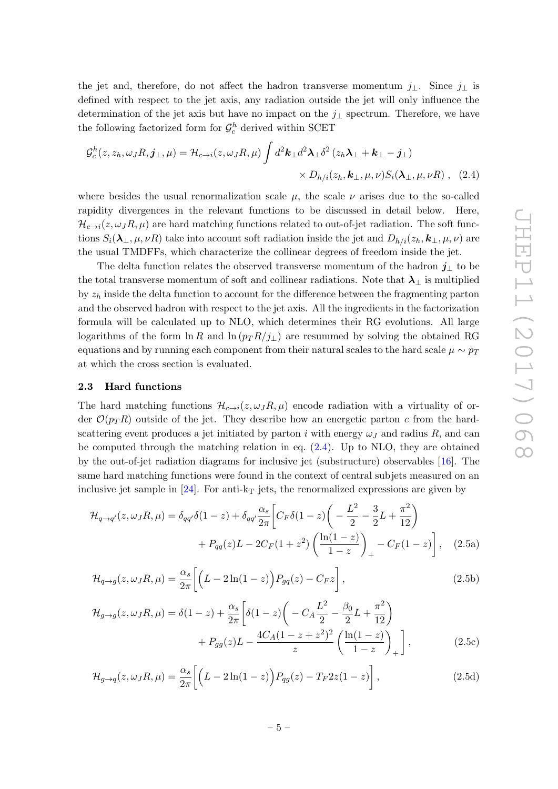the jet and, therefore, do not affect the hadron transverse momentum  $j_{\perp}$ . Since  $j_{\perp}$  is defined with respect to the jet axis, any radiation outside the jet will only influence the determination of the jet axis but have no impact on the  $j_{\perp}$  spectrum. Therefore, we have the following factorized form for  $\mathcal{G}_c^h$  derived within SCET

<span id="page-5-1"></span>
$$
\mathcal{G}_c^h(z, z_h, \omega_J R, \mathbf{j}_{\perp}, \mu) = \mathcal{H}_{c \to i}(z, \omega_J R, \mu) \int d^2 \mathbf{k}_{\perp} d^2 \mathbf{\lambda}_{\perp} \delta^2 (z_h \mathbf{\lambda}_{\perp} + \mathbf{k}_{\perp} - \mathbf{j}_{\perp}) \times D_{h/i}(z_h, \mathbf{k}_{\perp}, \mu, \nu) S_i(\mathbf{\lambda}_{\perp}, \mu, \nu R) , \quad (2.4)
$$

where besides the usual renormalization scale  $\mu$ , the scale  $\nu$  arises due to the so-called rapidity divergences in the relevant functions to be discussed in detail below. Here,  $\mathcal{H}_{c\to i}(z,\omega_JR,\mu)$  are hard matching functions related to out-of-jet radiation. The soft functions  $S_i(\lambda_\perp,\mu,\nu R)$  take into account soft radiation inside the jet and  $D_{h/i}(z_h, k_\perp,\mu,\nu)$  are the usual TMDFFs, which characterize the collinear degrees of freedom inside the jet.

The delta function relates the observed transverse momentum of the hadron  $j_{\perp}$  to be the total transverse momentum of soft and collinear radiations. Note that  $\lambda_{\perp}$  is multiplied by  $z<sub>h</sub>$  inside the delta function to account for the difference between the fragmenting parton and the observed hadron with respect to the jet axis. All the ingredients in the factorization formula will be calculated up to NLO, which determines their RG evolutions. All large logarithms of the form  $\ln R$  and  $\ln (p_T R / j_\perp)$  are resummed by solving the obtained RG equations and by running each component from their natural scales to the hard scale  $\mu \sim p_T$ at which the cross section is evaluated.

# <span id="page-5-0"></span>2.3 Hard functions

The hard matching functions  $\mathcal{H}_{c\to i}(z,\omega_J R,\mu)$  encode radiation with a virtuality of order  $\mathcal{O}(p_T R)$  outside of the jet. They describe how an energetic parton c from the hardscattering event produces a jet initiated by parton i with energy  $\omega_J$  and radius R, and can be computed through the matching relation in eq. [\(2.4\)](#page-5-1). Up to NLO, they are obtained by the out-of-jet radiation diagrams for inclusive jet (substructure) observables [\[16\]](#page-23-10). The same hard matching functions were found in the context of central subjets measured on an inclusive jet sample in [\[24\]](#page-24-3). For anti- $k_T$  jets, the renormalized expressions are given by

<span id="page-5-2"></span>
$$
\mathcal{H}_{q \to q'}(z, \omega_J R, \mu) = \delta_{qq'} \delta(1 - z) + \delta_{qq'} \frac{\alpha_s}{2\pi} \left[ C_F \delta(1 - z) \left( -\frac{L^2}{2} - \frac{3}{2} L + \frac{\pi^2}{12} \right) + P_{qq}(z) L - 2C_F (1 + z^2) \left( \frac{\ln(1 - z)}{1 - z} \right)_+ - C_F (1 - z) \right], \quad (2.5a)
$$

$$
\mathcal{H}_{q \to g}(z, \omega_J R, \mu) = \frac{\alpha_s}{2\pi} \left[ \left( L - 2\ln(1-z) \right) P_{gq}(z) - C_F z \right],\tag{2.5b}
$$

$$
\mathcal{H}_{g \to g}(z, \omega_J R, \mu) = \delta(1 - z) + \frac{\alpha_s}{2\pi} \left[ \delta(1 - z) \left( -C_A \frac{L^2}{2} - \frac{\beta_0}{2} L + \frac{\pi^2}{12} \right) + P_{gg}(z) L - \frac{4C_A (1 - z + z^2)^2}{z} \left( \frac{\ln(1 - z)}{1 - z} \right)_+ \right],
$$
\n(2.5c)

$$
\mathcal{H}_{g \to q}(z, \omega_J R, \mu) = \frac{\alpha_s}{2\pi} \left[ \left( L - 2\ln(1-z) \right) P_{qg}(z) - T_F 2z(1-z) \right],\tag{2.5d}
$$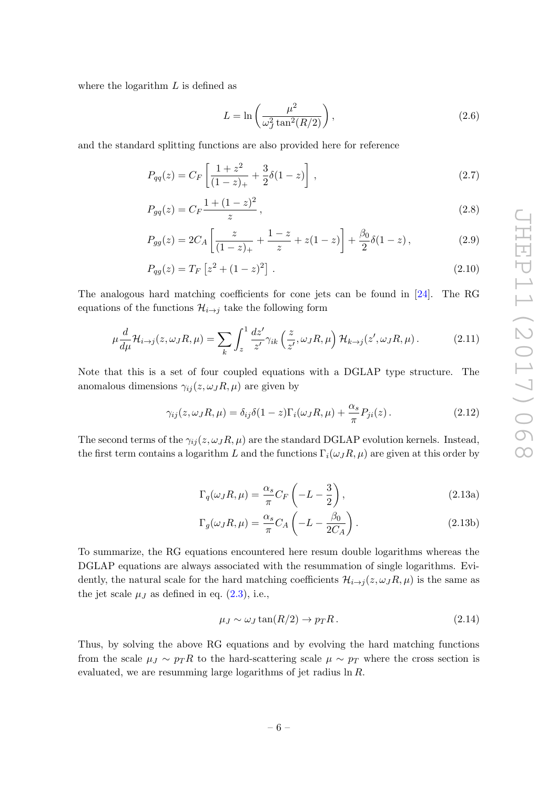where the logarithm  $L$  is defined as

$$
L = \ln\left(\frac{\mu^2}{\omega_J^2 \tan^2(R/2)}\right),\tag{2.6}
$$

and the standard splitting functions are also provided here for reference

$$
P_{qq}(z) = C_F \left[ \frac{1+z^2}{(1-z)_+} + \frac{3}{2} \delta(1-z) \right],
$$
\n(2.7)

$$
P_{gq}(z) = C_F \frac{1 + (1 - z)^2}{z},\tag{2.8}
$$

$$
P_{gg}(z) = 2C_A \left[ \frac{z}{(1-z)_+} + \frac{1-z}{z} + z(1-z) \right] + \frac{\beta_0}{2} \delta(1-z) , \qquad (2.9)
$$

$$
P_{qg}(z) = T_F \left[ z^2 + (1 - z)^2 \right]. \tag{2.10}
$$

The analogous hard matching coefficients for cone jets can be found in [\[24\]](#page-24-3). The RG equations of the functions  $\mathcal{H}_{i\rightarrow j}$  take the following form

$$
\mu \frac{d}{d\mu} \mathcal{H}_{i \to j}(z, \omega_J R, \mu) = \sum_{k} \int_{z}^{1} \frac{dz'}{z'} \gamma_{ik} \left(\frac{z}{z'}, \omega_J R, \mu\right) \mathcal{H}_{k \to j}(z', \omega_J R, \mu).
$$
 (2.11)

Note that this is a set of four coupled equations with a DGLAP type structure. The anomalous dimensions  $\gamma_{ij}(z,\omega_J R,\mu)$  are given by

<span id="page-6-0"></span>
$$
\gamma_{ij}(z,\omega_J R,\mu) = \delta_{ij}\delta(1-z)\Gamma_i(\omega_J R,\mu) + \frac{\alpha_s}{\pi}P_{ji}(z). \qquad (2.12)
$$

<span id="page-6-2"></span>The second terms of the  $\gamma_{ij}(z, \omega_J R, \mu)$  are the standard DGLAP evolution kernels. Instead, the first term contains a logarithm L and the functions  $\Gamma_i(\omega_J R, \mu)$  are given at this order by

<span id="page-6-1"></span>
$$
\Gamma_q(\omega_J R, \mu) = \frac{\alpha_s}{\pi} C_F \left( -L - \frac{3}{2} \right), \qquad (2.13a)
$$

$$
\Gamma_g(\omega_J R, \mu) = \frac{\alpha_s}{\pi} C_A \left( -L - \frac{\beta_0}{2C_A} \right). \tag{2.13b}
$$

To summarize, the RG equations encountered here resum double logarithms whereas the DGLAP equations are always associated with the resummation of single logarithms. Evidently, the natural scale for the hard matching coefficients  $\mathcal{H}_{i\to j}(z,\omega_JR,\mu)$  is the same as the jet scale  $\mu_J$  as defined in eq.  $(2.3)$ , i.e.,

$$
\mu_J \sim \omega_J \tan(R/2) \to p_T R. \tag{2.14}
$$

Thus, by solving the above RG equations and by evolving the hard matching functions from the scale  $\mu_J \sim p_T R$  to the hard-scattering scale  $\mu \sim p_T$  where the cross section is evaluated, we are resumming large logarithms of jet radius ln R.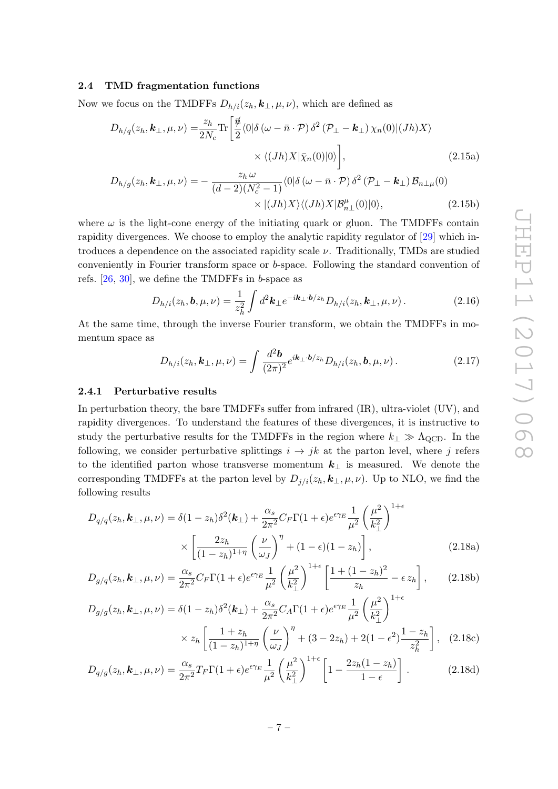# <span id="page-7-0"></span>2.4 TMD fragmentation functions

Now we focus on the TMDFFs  $D_{h/i}(z_h, k_\perp, \mu, \nu)$ , which are defined as

$$
D_{h/q}(z_h, \mathbf{k}_{\perp}, \mu, \nu) = \frac{z_h}{2N_c} \text{Tr} \left[ \frac{\vec{\psi}}{2} \langle 0 | \delta(\omega - \bar{n} \cdot \mathcal{P}) \delta^2 (\mathcal{P}_{\perp} - \mathbf{k}_{\perp}) \chi_n(0) | (Jh) X \rangle \right. \\ \times \langle (Jh) X | \bar{\chi}_n(0) | 0 \rangle \right], \tag{2.15a}
$$

$$
D_{h/g}(z_h, \mathbf{k}_{\perp}, \mu, \nu) = -\frac{z_h \omega}{(d-2)(N_c^2 - 1)} \langle 0 | \delta(\omega - \bar{n} \cdot \mathcal{P}) \delta^2 (\mathcal{P}_{\perp} - \mathbf{k}_{\perp}) \mathcal{B}_{n \perp \mu}(0) \times | (Jh) X \rangle \langle (Jh) X | \mathcal{B}_{n \perp}^{\mu}(0) | 0 \rangle, \tag{2.15b}
$$

where  $\omega$  is the light-cone energy of the initiating quark or gluon. The TMDFFs contain rapidity divergences. We choose to employ the analytic rapidity regulator of [\[29\]](#page-24-8) which introduces a dependence on the associated rapidity scale  $\nu$ . Traditionally, TMDs are studied conveniently in Fourier transform space or b-space. Following the standard convention of refs.  $[26, 30]$  $[26, 30]$ , we define the TMDFFs in b-space as

$$
D_{h/i}(z_h, \mathbf{b}, \mu, \nu) = \frac{1}{z_h^2} \int d^2 \mathbf{k}_\perp e^{-i\mathbf{k}_\perp \cdot \mathbf{b}/z_h} D_{h/i}(z_h, \mathbf{k}_\perp, \mu, \nu).
$$
 (2.16)

At the same time, through the inverse Fourier transform, we obtain the TMDFFs in momentum space as

<span id="page-7-3"></span><span id="page-7-2"></span>
$$
D_{h/i}(z_h, \mathbf{k}_{\perp}, \mu, \nu) = \int \frac{d^2 \mathbf{b}}{(2\pi)^2} e^{i\mathbf{k}_{\perp} \cdot \mathbf{b}/z_h} D_{h/i}(z_h, \mathbf{b}, \mu, \nu) \,. \tag{2.17}
$$

#### <span id="page-7-1"></span>2.4.1 Perturbative results

In perturbation theory, the bare TMDFFs suffer from infrared (IR), ultra-violet (UV), and rapidity divergences. To understand the features of these divergences, it is instructive to study the perturbative results for the TMDFFs in the region where  $k_{\perp} \gg \Lambda_{\text{QCD}}$ . In the following, we consider perturbative splittings  $i \rightarrow jk$  at the parton level, where j refers to the identified parton whose transverse momentum  $k_{\perp}$  is measured. We denote the corresponding TMDFFs at the parton level by  $D_{j/i}(z_h, k_\perp, \mu, \nu)$ . Up to NLO, we find the following results

$$
D_{q/q}(z_h, \mathbf{k}_\perp, \mu, \nu) = \delta(1 - z_h)\delta^2(\mathbf{k}_\perp) + \frac{\alpha_s}{2\pi^2} C_F \Gamma(1 + \epsilon) e^{\epsilon \gamma_E} \frac{1}{\mu^2} \left(\frac{\mu^2}{k_\perp^2}\right)^{1+\epsilon}
$$

$$
\times \left[\frac{2z_h}{(1 - z_h)^{1+\eta}} \left(\frac{\nu}{\omega_J}\right)^{\eta} + (1 - \epsilon)(1 - z_h)\right],
$$
(2.18a)

$$
D_{g/q}(z_h, \mathbf{k}_{\perp}, \mu, \nu) = \frac{\alpha_s}{2\pi^2} C_F \Gamma(1+\epsilon) e^{\epsilon \gamma_E} \frac{1}{\mu^2} \left(\frac{\mu^2}{k_{\perp}^2}\right)^{1+\epsilon} \left[\frac{1+(1-z_h)^2}{z_h} - \epsilon z_h\right],\tag{2.18b}
$$

$$
D_{g/g}(z_h, \mathbf{k}_{\perp}, \mu, \nu) = \delta(1 - z_h)\delta^2(\mathbf{k}_{\perp}) + \frac{\alpha_s}{2\pi^2} C_A \Gamma(1 + \epsilon) e^{\epsilon \gamma_E} \frac{1}{\mu^2} \left(\frac{\mu^2}{k_{\perp}^2}\right)^{1+\epsilon} \times z_h \left[\frac{1 + z_h}{(1 - z_h)^{1+\eta}} \left(\frac{\nu}{\omega_J}\right)^{\eta} + (3 - 2z_h) + 2(1 - \epsilon^2) \frac{1 - z_h}{z_h^2}\right], \quad (2.18c)
$$

$$
D_{q/g}(z_h, \mathbf{k}_\perp, \mu, \nu) = \frac{\alpha_s}{2\pi^2} T_F \Gamma(1+\epsilon) e^{\epsilon \gamma_E} \frac{1}{\mu^2} \left(\frac{\mu^2}{k_\perp^2}\right)^{1+\epsilon} \left[1 - \frac{2z_h(1-z_h)}{1-\epsilon}\right].
$$
 (2.18d)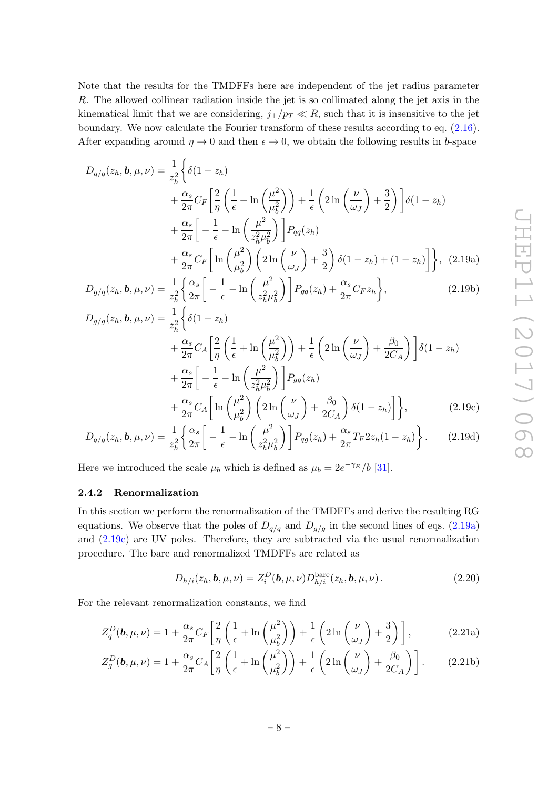Note that the results for the TMDFFs here are independent of the jet radius parameter R. The allowed collinear radiation inside the jet is so collimated along the jet axis in the kinematical limit that we are considering,  $j_{\perp}/p_T \ll R$ , such that it is insensitive to the jet boundary. We now calculate the Fourier transform of these results according to eq. [\(2.16\)](#page-7-2). After expanding around  $\eta \to 0$  and then  $\epsilon \to 0$ , we obtain the following results in b-space

<span id="page-8-3"></span>
$$
D_{q/q}(z_h, \mathbf{b}, \mu, \nu) = \frac{1}{z_h^2} \left\{ \delta(1 - z_h) + \frac{\alpha_s}{2\pi} C_F \left[ \frac{2}{\eta} \left( \frac{1}{\epsilon} + \ln \left( \frac{\mu^2}{\mu_b^2} \right) \right) + \frac{1}{\epsilon} \left( 2 \ln \left( \frac{\nu}{\omega_J} \right) + \frac{3}{2} \right) \right] \delta(1 - z_h) + \frac{\alpha_s}{2\pi} \left[ -\frac{1}{\epsilon} - \ln \left( \frac{\mu^2}{z_h^2 \mu_b^2} \right) \right] P_{qq}(z_h) + \frac{\alpha_s}{2\pi} C_F \left[ \ln \left( \frac{\mu^2}{\mu_b^2} \right) \left( 2 \ln \left( \frac{\nu}{\omega_J} \right) + \frac{3}{2} \right) \delta(1 - z_h) + (1 - z_h) \right] \right\}, (2.19a)
$$

<span id="page-8-1"></span>
$$
D_{g/q}(z_h, \mathbf{b}, \mu, \nu) = \frac{1}{z_h^2} \left\{ \frac{\alpha_s}{2\pi} \left[ -\frac{1}{\epsilon} - \ln\left(\frac{\mu^2}{z_h^2 \mu_b^2}\right) \right] P_{gq}(z_h) + \frac{\alpha_s}{2\pi} C_F z_h \right\},\tag{2.19b}
$$

$$
D_{g/g}(z_h, \mathbf{b}, \mu, \nu) = \frac{1}{z_h^2} \left\{ \delta(1 - z_h) + \frac{\alpha_s}{2\pi} C_A \left[ \frac{2}{\eta} \left( \frac{1}{\epsilon} + \ln \left( \frac{\mu^2}{\mu_b^2} \right) \right) + \frac{1}{\epsilon} \left( 2\ln \left( \frac{\nu}{\omega_J} \right) + \frac{\beta_0}{2C_A} \right) \right] \delta(1 - z_h) + \frac{\alpha_s}{2\pi} \left[ -\frac{1}{\epsilon} - \ln \left( \frac{\mu^2}{z_h^2 \mu_b^2} \right) \right] P_{gg}(z_h) + \frac{\alpha_s}{2\pi} C_A \left[ \ln \left( \frac{\mu^2}{\mu_b^2} \right) \left( 2\ln \left( \frac{\nu}{\omega_J} \right) + \frac{\beta_0}{2C_A} \right) \delta(1 - z_h) \right] \right\}, \tag{2.19c}
$$

$$
D_{q/g}(z_h, \mathbf{b}, \mu, \nu) = \frac{1}{z_h^2} \left\{ \frac{\alpha_s}{2\pi} \left[ -\frac{1}{\epsilon} - \ln\left(\frac{\mu^2}{z_h^2 \mu_b^2}\right) \right] P_{qg}(z_h) + \frac{\alpha_s}{2\pi} T_F 2z_h (1 - z_h) \right\}.
$$
 (2.19d)

Here we introduced the scale  $\mu_b$  which is defined as  $\mu_b = 2e^{-\gamma_E}/b$  [\[31\]](#page-24-10).

# <span id="page-8-0"></span>2.4.2 Renormalization

In this section we perform the renormalization of the TMDFFs and derive the resulting RG equations. We observe that the poles of  $D_{q/q}$  and  $D_{q/g}$  in the second lines of eqs. [\(2.19a\)](#page-8-1) and [\(2.19c\)](#page-8-2) are UV poles. Therefore, they are subtracted via the usual renormalization procedure. The bare and renormalized TMDFFs are related as

<span id="page-8-2"></span>
$$
D_{h/i}(z_h, \mathbf{b}, \mu, \nu) = Z_i^D(\mathbf{b}, \mu, \nu) D_{h/i}^{\text{bare}}(z_h, \mathbf{b}, \mu, \nu).
$$
 (2.20)

For the relevant renormalization constants, we find

$$
Z_q^D(\mathbf{b}, \mu, \nu) = 1 + \frac{\alpha_s}{2\pi} C_F \left[ \frac{2}{\eta} \left( \frac{1}{\epsilon} + \ln\left(\frac{\mu^2}{\mu_b^2}\right) \right) + \frac{1}{\epsilon} \left( 2\ln\left(\frac{\nu}{\omega_J}\right) + \frac{3}{2} \right) \right],\tag{2.21a}
$$

$$
Z_g^D(\mathbf{b}, \mu, \nu) = 1 + \frac{\alpha_s}{2\pi} C_A \left[ \frac{2}{\eta} \left( \frac{1}{\epsilon} + \ln \left( \frac{\mu^2}{\mu_b^2} \right) \right) + \frac{1}{\epsilon} \left( 2 \ln \left( \frac{\nu}{\omega_J} \right) + \frac{\beta_0}{2C_A} \right) \right].
$$
 (2.21b)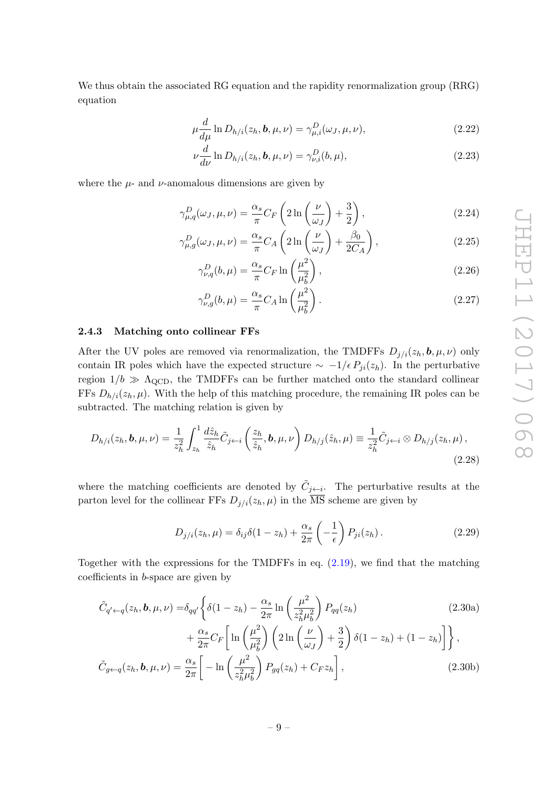We thus obtain the associated RG equation and the rapidity renormalization group (RRG) equation

$$
\mu \frac{d}{d\mu} \ln D_{h/i}(z_h, \mathbf{b}, \mu, \nu) = \gamma_{\mu, i}^D(\omega_J, \mu, \nu), \qquad (2.22)
$$

$$
\nu \frac{d}{d\nu} \ln D_{h/i}(z_h, \mathbf{b}, \mu, \nu) = \gamma_{\nu,i}^D(b, \mu), \qquad (2.23)
$$

where the  $\mu$ - and  $\nu$ -anomalous dimensions are given by

$$
\gamma_{\mu,q}^D(\omega_J,\mu,\nu) = \frac{\alpha_s}{\pi} C_F \left(2\ln\left(\frac{\nu}{\omega_J}\right) + \frac{3}{2}\right),\tag{2.24}
$$

$$
\gamma_{\mu,g}^D(\omega_J,\mu,\nu) = \frac{\alpha_s}{\pi} C_A \left(2\ln\left(\frac{\nu}{\omega_J}\right) + \frac{\beta_0}{2C_A}\right),\tag{2.25}
$$

$$
\gamma_{\nu,q}^D(b,\mu) = \frac{\alpha_s}{\pi} C_F \ln\left(\frac{\mu^2}{\mu_b^2}\right),\tag{2.26}
$$

$$
\gamma_{\nu,g}^D(b,\mu) = \frac{\alpha_s}{\pi} C_A \ln\left(\frac{\mu^2}{\mu_b^2}\right). \tag{2.27}
$$

# <span id="page-9-0"></span>2.4.3 Matching onto collinear FFs

After the UV poles are removed via renormalization, the TMDFFs  $D_{j/i}(z_h, \mathbf{b}, \mu, \nu)$  only contain IR poles which have the expected structure  $\sim -1/\epsilon P_{ji}(z_h)$ . In the perturbative region  $1/b \gg \Lambda_{\rm QCD}$ , the TMDFFs can be further matched onto the standard collinear FFs  $D_{h/i}(z_h, \mu)$ . With the help of this matching procedure, the remaining IR poles can be subtracted. The matching relation is given by

$$
D_{h/i}(z_h, \mathbf{b}, \mu, \nu) = \frac{1}{z_h^2} \int_{z_h}^1 \frac{d\hat{z}_h}{\hat{z}_h} \tilde{C}_{j \leftarrow i} \left(\frac{z_h}{\hat{z}_h}, \mathbf{b}, \mu, \nu\right) D_{h/j}(\hat{z}_h, \mu) \equiv \frac{1}{z_h^2} \tilde{C}_{j \leftarrow i} \otimes D_{h/j}(z_h, \mu),
$$
\n(2.28)

where the matching coefficients are denoted by  $\tilde{C}_{j \leftarrow i}$ . The perturbative results at the parton level for the collinear FFs  $D_{j/i}(z_h, \mu)$  in the  $\overline{\text{MS}}$  scheme are given by

<span id="page-9-1"></span>
$$
D_{j/i}(z_h, \mu) = \delta_{ij}\delta(1 - z_h) + \frac{\alpha_s}{2\pi} \left(-\frac{1}{\epsilon}\right) P_{ji}(z_h).
$$
 (2.29)

Together with the expressions for the TMDFFs in eq.  $(2.19)$ , we find that the matching coefficients in b-space are given by

$$
\tilde{C}_{q' \leftarrow q}(z_h, \mathbf{b}, \mu, \nu) = \delta_{qq'} \left\{ \delta(1 - z_h) - \frac{\alpha_s}{2\pi} \ln \left( \frac{\mu^2}{z_h^2 \mu_b^2} \right) P_{qq}(z_h) \right. \left. + \frac{\alpha_s}{2\pi} C_F \left[ \ln \left( \frac{\mu^2}{\mu_b^2} \right) \left( 2 \ln \left( \frac{\nu}{\omega_J} \right) + \frac{3}{2} \right) \delta(1 - z_h) + (1 - z_h) \right] \right\},\
$$
\n
$$
\tilde{C}_{g \leftarrow q}(z_h, \mathbf{b}, \mu, \nu) = \frac{\alpha_s}{2\pi} \left[ -\ln \left( \frac{\mu^2}{z_h^2 \mu_b^2} \right) P_{gq}(z_h) + C_F z_h \right],\tag{2.30b}
$$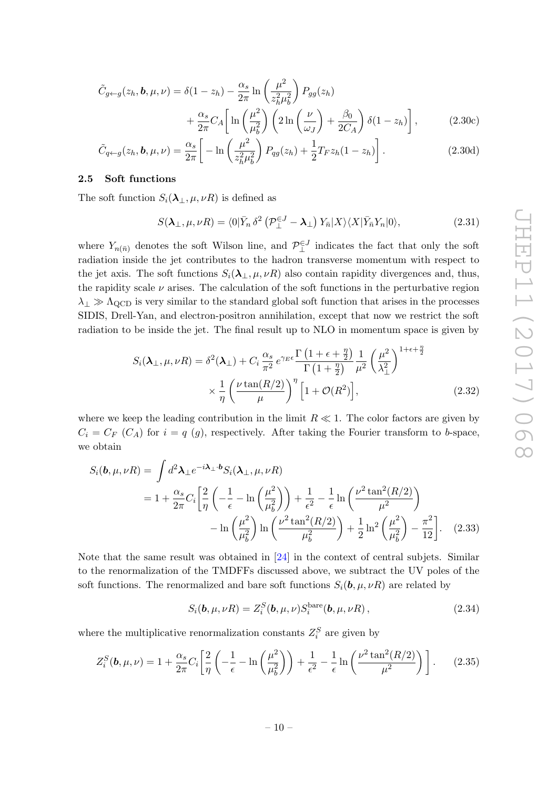$$
\tilde{C}_{g \leftarrow g}(z_h, \mathbf{b}, \mu, \nu) = \delta(1 - z_h) - \frac{\alpha_s}{2\pi} \ln\left(\frac{\mu^2}{z_h^2 \mu_b^2}\right) P_{gg}(z_h) \n+ \frac{\alpha_s}{2\pi} C_A \left[ \ln\left(\frac{\mu^2}{\mu_b^2}\right) \left(2 \ln\left(\frac{\nu}{\omega_J}\right) + \frac{\beta_0}{2C_A}\right) \delta(1 - z_h) \right],
$$
\n(2.30c)

$$
\tilde{C}_{q \leftarrow g}(z_h, \mathbf{b}, \mu, \nu) = \frac{\alpha_s}{2\pi} \left[ -\ln\left(\frac{\mu^2}{z_h^2 \mu_b^2}\right) P_{qg}(z_h) + \frac{1}{2} T_F z_h (1 - z_h) \right]. \tag{2.30d}
$$

#### <span id="page-10-0"></span>2.5 Soft functions

The soft function  $S_i(\lambda_\perp, \mu, \nu R)$  is defined as

$$
S(\lambda_{\perp}, \mu, \nu R) = \langle 0|\bar{Y}_n \,\delta^2 \left(\mathcal{P}_{\perp}^{\in J} - \lambda_{\perp}\right) Y_{\bar{n}}|X\rangle \langle X|\bar{Y}_{\bar{n}}Y_n|0\rangle, \tag{2.31}
$$

where  $Y_{n(\bar{n})}$  denotes the soft Wilson line, and  $\mathcal{P}_{\perp}^{\in J}$  indicates the fact that only the soft radiation inside the jet contributes to the hadron transverse momentum with respect to the jet axis. The soft functions  $S_i(\lambda_+, \mu, \nu R)$  also contain rapidity divergences and, thus, the rapidity scale  $\nu$  arises. The calculation of the soft functions in the perturbative region  $\lambda_{\perp} \gg \Lambda_{\text{QCD}}$  is very similar to the standard global soft function that arises in the processes SIDIS, Drell-Yan, and electron-positron annihilation, except that now we restrict the soft radiation to be inside the jet. The final result up to NLO in momentum space is given by

$$
S_i(\lambda_{\perp}, \mu, \nu R) = \delta^2(\lambda_{\perp}) + C_i \frac{\alpha_s}{\pi^2} e^{\gamma_E \epsilon} \frac{\Gamma\left(1 + \epsilon + \frac{\eta}{2}\right)}{\Gamma\left(1 + \frac{\eta}{2}\right)} \frac{1}{\mu^2} \left(\frac{\mu^2}{\lambda_{\perp}^2}\right)^{1 + \epsilon + \frac{\eta}{2}}
$$

$$
\times \frac{1}{\eta} \left(\frac{\nu \tan(R/2)}{\mu}\right)^{\eta} \left[1 + \mathcal{O}(R^2)\right],
$$
(2.32)

where we keep the leading contribution in the limit  $R \ll 1$ . The color factors are given by  $C_i = C_F (C_A)$  for  $i = q(g)$ , respectively. After taking the Fourier transform to b-space, we obtain

$$
S_i(\mathbf{b}, \mu, \nu R) = \int d^2 \mathbf{\lambda}_\perp e^{-i\mathbf{\lambda}_\perp \cdot \mathbf{b}} S_i(\mathbf{\lambda}_\perp, \mu, \nu R)
$$
  
=  $1 + \frac{\alpha_s}{2\pi} C_i \left[ \frac{2}{\eta} \left( -\frac{1}{\epsilon} - \ln \left( \frac{\mu^2}{\mu_b^2} \right) \right) + \frac{1}{\epsilon^2} - \frac{1}{\epsilon} \ln \left( \frac{\nu^2 \tan^2(R/2)}{\mu^2} \right) - \ln \left( \frac{\mu^2}{\mu_b^2} \right) \ln \left( \frac{\nu^2 \tan^2(R/2)}{\mu_b^2} \right) + \frac{1}{2} \ln^2 \left( \frac{\mu^2}{\mu_b^2} \right) - \frac{\pi^2}{12} \right].$  (2.33)

Note that the same result was obtained in [\[24\]](#page-24-3) in the context of central subjets. Similar to the renormalization of the TMDFFs discussed above, we subtract the UV poles of the soft functions. The renormalized and bare soft functions  $S_i(\mathbf{b}, \mu, \nu R)$  are related by

<span id="page-10-1"></span>
$$
S_i(\mathbf{b}, \mu, \nu R) = Z_i^S(\mathbf{b}, \mu, \nu) S_i^{\text{bare}}(\mathbf{b}, \mu, \nu R), \qquad (2.34)
$$

where the multiplicative renormalization constants  $Z_i^S$  are given by

$$
Z_i^S(\mathbf{b}, \mu, \nu) = 1 + \frac{\alpha_s}{2\pi} C_i \left[ \frac{2}{\eta} \left( -\frac{1}{\epsilon} - \ln\left(\frac{\mu^2}{\mu_b^2}\right) \right) + \frac{1}{\epsilon^2} - \frac{1}{\epsilon} \ln\left(\frac{\nu^2 \tan^2(R/2)}{\mu^2}\right) \right].
$$
 (2.35)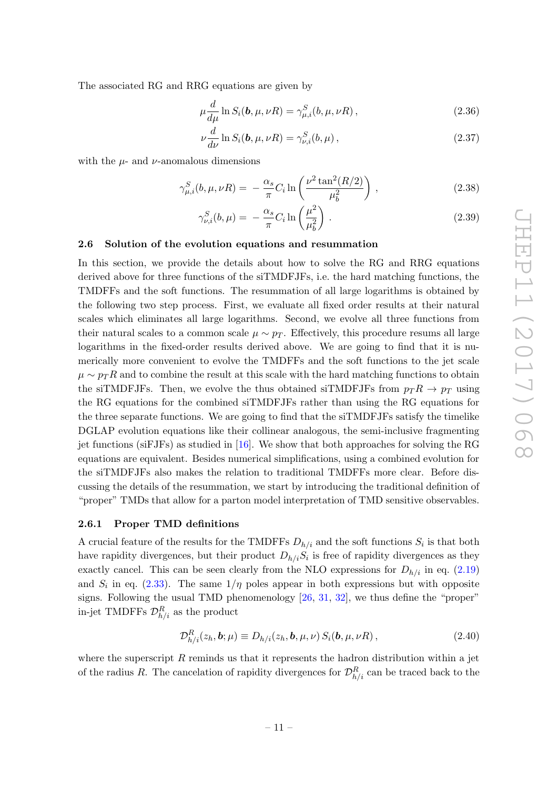The associated RG and RRG equations are given by

$$
\mu \frac{d}{d\mu} \ln S_i(\mathbf{b}, \mu, \nu R) = \gamma_{\mu, i}^S(b, \mu, \nu R) , \qquad (2.36)
$$

$$
\nu \frac{d}{d\nu} \ln S_i(\mathbf{b}, \mu, \nu R) = \gamma_{\nu,i}^S(b, \mu), \qquad (2.37)
$$

with the  $\mu$ - and  $\nu$ -anomalous dimensions

$$
\gamma_{\mu,i}^{S}(b,\mu,\nu R) = -\frac{\alpha_s}{\pi}C_i \ln\left(\frac{\nu^2 \tan^2(R/2)}{\mu_b^2}\right),
$$
\n(2.38)

$$
\gamma_{\nu,i}^S(b,\mu) = -\frac{\alpha_s}{\pi} C_i \ln\left(\frac{\mu^2}{\mu_b^2}\right). \tag{2.39}
$$

#### <span id="page-11-0"></span>2.6 Solution of the evolution equations and resummation

In this section, we provide the details about how to solve the RG and RRG equations derived above for three functions of the siTMDFJFs, i.e. the hard matching functions, the TMDFFs and the soft functions. The resummation of all large logarithms is obtained by the following two step process. First, we evaluate all fixed order results at their natural scales which eliminates all large logarithms. Second, we evolve all three functions from their natural scales to a common scale  $\mu \sim p_T$ . Effectively, this procedure resums all large logarithms in the fixed-order results derived above. We are going to find that it is numerically more convenient to evolve the TMDFFs and the soft functions to the jet scale  $\mu \sim p_T R$  and to combine the result at this scale with the hard matching functions to obtain the siTMDFJFs. Then, we evolve the thus obtained siTMDFJFs from  $p_T R \to p_T$  using the RG equations for the combined siTMDFJFs rather than using the RG equations for the three separate functions. We are going to find that the siTMDFJFs satisfy the timelike DGLAP evolution equations like their collinear analogous, the semi-inclusive fragmenting jet functions (siFJFs) as studied in [\[16\]](#page-23-10). We show that both approaches for solving the RG equations are equivalent. Besides numerical simplifications, using a combined evolution for the siTMDFJFs also makes the relation to traditional TMDFFs more clear. Before discussing the details of the resummation, we start by introducing the traditional definition of "proper" TMDs that allow for a parton model interpretation of TMD sensitive observables.

#### <span id="page-11-1"></span>2.6.1 Proper TMD definitions

A crucial feature of the results for the TMDFFs  $D_{h/i}$  and the soft functions  $S_i$  is that both have rapidity divergences, but their product  $D_{h/i}S_i$  is free of rapidity divergences as they exactly cancel. This can be seen clearly from the NLO expressions for  $D_{h/i}$  in eq. [\(2.19\)](#page-8-3) and  $S_i$  in eq. [\(2.33\)](#page-10-1). The same  $1/\eta$  poles appear in both expressions but with opposite signs. Following the usual TMD phenomenology  $[26, 31, 32]$  $[26, 31, 32]$  $[26, 31, 32]$  $[26, 31, 32]$ , we thus define the "proper" in-jet TMDFFs  $\mathcal{D}_{h/i}^R$  as the product

<span id="page-11-2"></span>
$$
\mathcal{D}_{h/i}^R(z_h, \mathbf{b}; \mu) \equiv D_{h/i}(z_h, \mathbf{b}, \mu, \nu) S_i(\mathbf{b}, \mu, \nu R) ,
$$
\n(2.40)

where the superscript  $R$  reminds us that it represents the hadron distribution within a jet of the radius R. The cancelation of rapidity divergences for  $\mathcal{D}_{h/i}^R$  can be traced back to the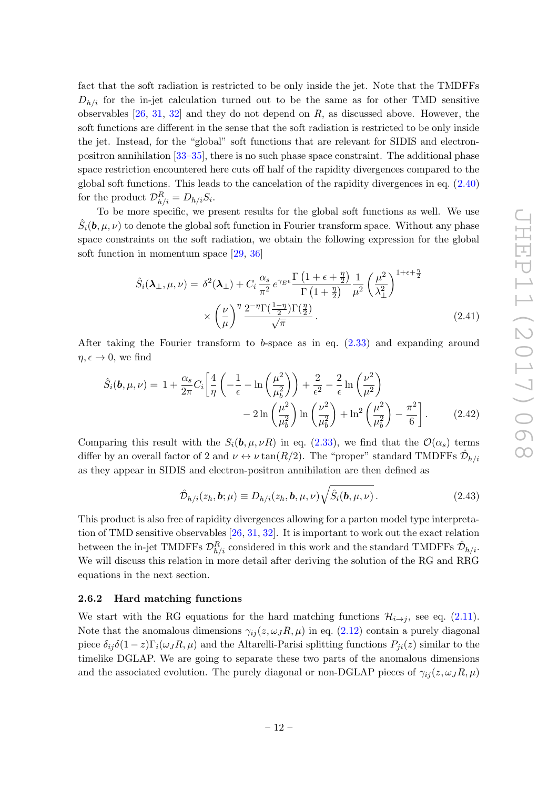fact that the soft radiation is restricted to be only inside the jet. Note that the TMDFFs  $D_{h/i}$  for the in-jet calculation turned out to be the same as for other TMD sensitive observables  $[26, 31, 32]$  $[26, 31, 32]$  $[26, 31, 32]$  $[26, 31, 32]$  and they do not depend on  $R$ , as discussed above. However, the soft functions are different in the sense that the soft radiation is restricted to be only inside the jet. Instead, for the "global" soft functions that are relevant for SIDIS and electronpositron annihilation [\[33–](#page-24-12)[35\]](#page-24-13), there is no such phase space constraint. The additional phase space restriction encountered here cuts off half of the rapidity divergences compared to the global soft functions. This leads to the cancelation of the rapidity divergences in eq. [\(2.40\)](#page-11-2) for the product  $\mathcal{D}_{h/i}^R = D_{h/i} S_i$ .

To be more specific, we present results for the global soft functions as well. We use  $\hat{S}_i(\bm{b}, \mu, \nu)$  to denote the global soft function in Fourier transform space. Without any phase space constraints on the soft radiation, we obtain the following expression for the global soft function in momentum space [\[29,](#page-24-8) [36\]](#page-24-14)

$$
\hat{S}_i(\lambda_{\perp}, \mu, \nu) = \delta^2(\lambda_{\perp}) + C_i \frac{\alpha_s}{\pi^2} e^{\gamma_E \epsilon} \frac{\Gamma\left(1 + \epsilon + \frac{\eta}{2}\right)}{\Gamma\left(1 + \frac{\eta}{2}\right)} \frac{1}{\mu^2} \left(\frac{\mu^2}{\lambda_{\perp}^2}\right)^{1 + \epsilon + \frac{\eta}{2}} \times \left(\frac{\nu}{\mu}\right)^{\eta} \frac{2^{-\eta} \Gamma\left(\frac{1 - \eta}{2}\right) \Gamma\left(\frac{\eta}{2}\right)}{\sqrt{\pi}}.
$$
\n(2.41)

After taking the Fourier transform to b-space as in eq. [\(2.33\)](#page-10-1) and expanding around  $\eta, \epsilon \to 0$ , we find

$$
\hat{S}_i(\mathbf{b}, \mu, \nu) = 1 + \frac{\alpha_s}{2\pi} C_i \left[ \frac{4}{\eta} \left( -\frac{1}{\epsilon} - \ln\left(\frac{\mu^2}{\mu_b^2}\right) \right) + \frac{2}{\epsilon^2} - \frac{2}{\epsilon} \ln\left(\frac{\nu^2}{\mu^2}\right) - 2 \ln\left(\frac{\mu^2}{\mu_b^2}\right) \ln\left(\frac{\nu^2}{\mu_b^2}\right) + \ln^2\left(\frac{\mu^2}{\mu_b^2}\right) - \frac{\pi^2}{6} \right].
$$
\n(2.42)

Comparing this result with the  $S_i(\mathbf{b}, \mu, \nu R)$  in eq. [\(2.33\)](#page-10-1), we find that the  $\mathcal{O}(\alpha_s)$  terms differ by an overall factor of 2 and  $\nu \leftrightarrow \nu \tan(R/2)$ . The "proper" standard TMDFFs  $\hat{\mathcal{D}}_{h/i}$ as they appear in SIDIS and electron-positron annihilation are then defined as

<span id="page-12-1"></span>
$$
\hat{\mathcal{D}}_{h/i}(z_h, \mathbf{b}; \mu) \equiv D_{h/i}(z_h, \mathbf{b}, \mu, \nu) \sqrt{\hat{S}_i(\mathbf{b}, \mu, \nu)}.
$$
\n(2.43)

This product is also free of rapidity divergences allowing for a parton model type interpretation of TMD sensitive observables [\[26,](#page-24-5) [31,](#page-24-10) [32\]](#page-24-11). It is important to work out the exact relation between the in-jet TMDFFs  $\mathcal{D}_{h/i}^R$  considered in this work and the standard TMDFFs  $\hat{\mathcal{D}}_{h/i}$ . We will discuss this relation in more detail after deriving the solution of the RG and RRG equations in the next section.

#### <span id="page-12-0"></span>2.6.2 Hard matching functions

We start with the RG equations for the hard matching functions  $\mathcal{H}_{i\to j}$ , see eq. [\(2.11\)](#page-6-0). Note that the anomalous dimensions  $\gamma_{ij}(z,\omega_J R,\mu)$  in eq. [\(2.12\)](#page-6-1) contain a purely diagonal piece  $\delta_{ij}\delta(1-z)\Gamma_i(\omega_jR,\mu)$  and the Altarelli-Parisi splitting functions  $P_{ji}(z)$  similar to the timelike DGLAP. We are going to separate these two parts of the anomalous dimensions and the associated evolution. The purely diagonal or non-DGLAP pieces of  $\gamma_{ij}(z,\omega_J R,\mu)$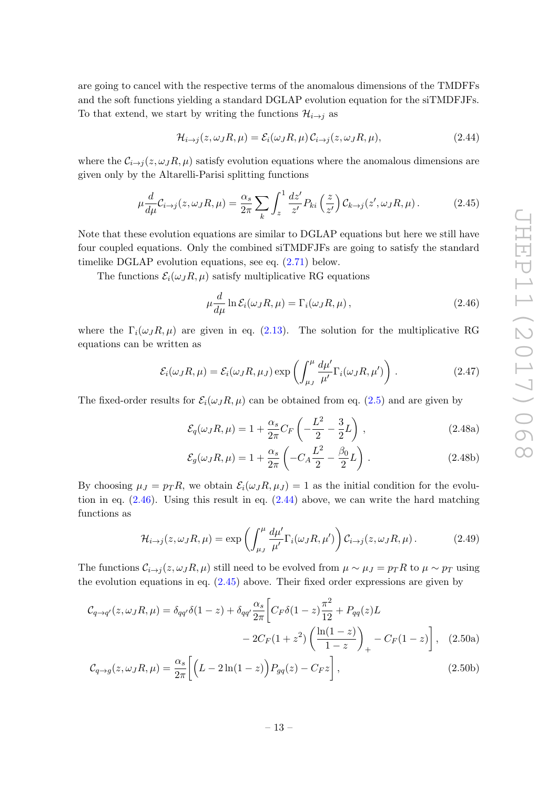are going to cancel with the respective terms of the anomalous dimensions of the TMDFFs and the soft functions yielding a standard DGLAP evolution equation for the siTMDFJFs. To that extend, we start by writing the functions  $\mathcal{H}_{i\to j}$  as

<span id="page-13-1"></span>
$$
\mathcal{H}_{i \to j}(z, \omega_J R, \mu) = \mathcal{E}_i(\omega_J R, \mu) \mathcal{C}_{i \to j}(z, \omega_J R, \mu), \tag{2.44}
$$

where the  $\mathcal{C}_{i\to j}(z,\omega_J R,\mu)$  satisfy evolution equations where the anomalous dimensions are given only by the Altarelli-Parisi splitting functions

$$
\mu \frac{d}{d\mu} C_{i \to j}(z, \omega_J R, \mu) = \frac{\alpha_s}{2\pi} \sum_k \int_z^1 \frac{dz'}{z'} P_{ki} \left(\frac{z}{z'}\right) C_{k \to j}(z', \omega_J R, \mu).
$$
 (2.45)

Note that these evolution equations are similar to DGLAP equations but here we still have four coupled equations. Only the combined siTMDFJFs are going to satisfy the standard timelike DGLAP evolution equations, see eq. [\(2.71\)](#page-17-0) below.

The functions  $\mathcal{E}_i(\omega_J R, \mu)$  satisfy multiplicative RG equations

<span id="page-13-2"></span><span id="page-13-0"></span>
$$
\mu \frac{d}{d\mu} \ln \mathcal{E}_i(\omega_J R, \mu) = \Gamma_i(\omega_J R, \mu), \qquad (2.46)
$$

where the  $\Gamma_i(\omega_J R, \mu)$  are given in eq. [\(2.13\)](#page-6-2). The solution for the multiplicative RG equations can be written as

$$
\mathcal{E}_i(\omega_J R, \mu) = \mathcal{E}_i(\omega_J R, \mu_J) \exp\left(\int_{\mu_J}^{\mu} \frac{d\mu'}{\mu'} \Gamma_i(\omega_J R, \mu')\right).
$$
 (2.47)

The fixed-order results for  $\mathcal{E}_i(\omega_j R, \mu)$  can be obtained from eq. [\(2.5\)](#page-5-2) and are given by

$$
\mathcal{E}_q(\omega_J R, \mu) = 1 + \frac{\alpha_s}{2\pi} C_F \left( -\frac{L^2}{2} - \frac{3}{2}L \right), \qquad (2.48a)
$$

<span id="page-13-4"></span><span id="page-13-3"></span>
$$
\mathcal{E}_g(\omega_J R, \mu) = 1 + \frac{\alpha_s}{2\pi} \left( -C_A \frac{L^2}{2} - \frac{\beta_0}{2} L \right). \tag{2.48b}
$$

By choosing  $\mu_J = p_T R$ , we obtain  $\mathcal{E}_i(\omega_J R, \mu_J) = 1$  as the initial condition for the evolution in eq.  $(2.46)$ . Using this result in eq.  $(2.44)$  above, we can write the hard matching functions as

$$
\mathcal{H}_{i \to j}(z, \omega_J R, \mu) = \exp\left(\int_{\mu_J}^{\mu} \frac{d\mu'}{\mu'} \Gamma_i(\omega_J R, \mu')\right) \mathcal{C}_{i \to j}(z, \omega_J R, \mu).
$$
 (2.49)

The functions  $\mathcal{C}_{i\to j}(z,\omega_J R,\mu)$  still need to be evolved from  $\mu \sim \mu_J = p_T R$  to  $\mu \sim p_T$  using the evolution equations in eq. [\(2.45\)](#page-13-2) above. Their fixed order expressions are given by

$$
\mathcal{C}_{q \to q'}(z, \omega_J R, \mu) = \delta_{qq'} \delta(1 - z) + \delta_{qq'} \frac{\alpha_s}{2\pi} \left[ C_F \delta(1 - z) \frac{\pi^2}{12} + P_{qq}(z)L - 2C_F(1 + z^2) \left( \frac{\ln(1 - z)}{1 - z} \right)_+ - C_F(1 - z) \right], \quad (2.50a)
$$

$$
\mathcal{C}_{q \to g}(z, \omega_J R, \mu) = \frac{\alpha_s}{2\pi} \left[ \left( L - 2\ln(1-z) \right) P_{gq}(z) - C_F z \right],\tag{2.50b}
$$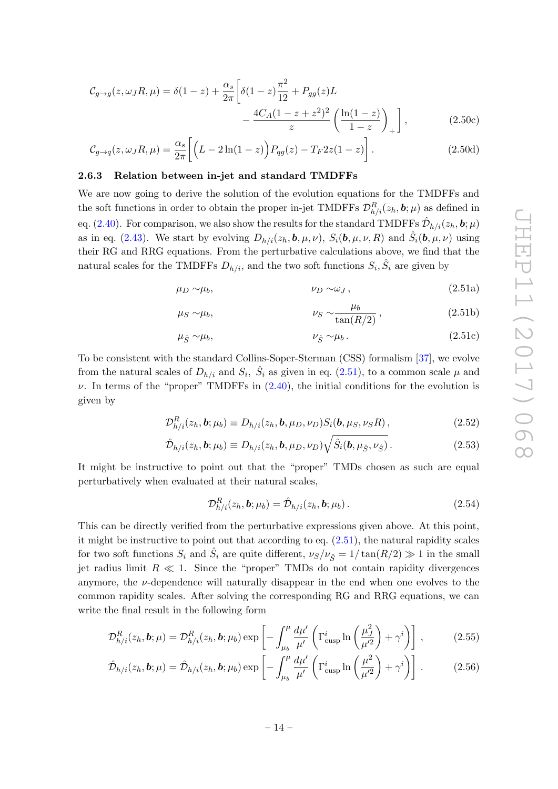$$
C_{g \to g}(z, \omega_J R, \mu) = \delta(1 - z) + \frac{\alpha_s}{2\pi} \left[ \delta(1 - z) \frac{\pi^2}{12} + P_{gg}(z)L - \frac{4C_A(1 - z + z^2)^2}{z} \left( \frac{\ln(1 - z)}{1 - z} \right)_+ \right],
$$
(2.50c)

$$
\mathcal{C}_{g \to q}(z, \omega_J R, \mu) = \frac{\alpha_s}{2\pi} \left[ \left( L - 2\ln(1-z) \right) P_{qg}(z) - T_F 2z(1-z) \right]. \tag{2.50d}
$$

#### <span id="page-14-0"></span>2.6.3 Relation between in-jet and standard TMDFFs

We are now going to derive the solution of the evolution equations for the TMDFFs and the soft functions in order to obtain the proper in-jet TMDFFs  $\mathcal{D}_{h/i}^R(z_h, b; \mu)$  as defined in eq. [\(2.40\)](#page-11-2). For comparison, we also show the results for the standard TMDFFs  $\hat{\mathcal{D}}_{h/i}(z_h, \bm{b}; \mu)$ as in eq. [\(2.43\)](#page-12-1). We start by evolving  $D_{h/i}(z_h, \mathbf{b}, \mu, \nu)$ ,  $S_i(\mathbf{b}, \mu, \nu, R)$  and  $\hat{S}_i(\mathbf{b}, \mu, \nu)$  using their RG and RRG equations. From the perturbative calculations above, we find that the natural scales for the TMDFFs  $D_{h/i}$ , and the two soft functions  $S_i$ ,  $\hat{S}_i$  are given by

$$
\mu_D \sim \mu_b, \qquad \nu_D \sim \omega_J, \qquad (2.51a)
$$

<span id="page-14-1"></span>
$$
\mu_S \sim \mu_b, \qquad \nu_S \sim \frac{\mu_b}{\tan(R/2)}, \qquad (2.51b)
$$

$$
\mu_{\hat{S}} \sim \mu_b, \qquad \nu_{\hat{S}} \sim \mu_b. \tag{2.51c}
$$

To be consistent with the standard Collins-Soper-Sterman (CSS) formalism [\[37\]](#page-24-15), we evolve from the natural scales of  $D_{h/i}$  and  $S_i$ ,  $\hat{S}_i$  as given in eq. [\(2.51\)](#page-14-1), to a common scale  $\mu$  and  $\nu$ . In terms of the "proper" TMDFFs in  $(2.40)$ , the initial conditions for the evolution is given by

$$
\mathcal{D}_{h/i}^R(z_h, \mathbf{b}; \mu_b) \equiv D_{h/i}(z_h, \mathbf{b}, \mu_D, \nu_D) S_i(\mathbf{b}, \mu_S, \nu_S R) ,
$$
\n(2.52)

$$
\hat{\mathcal{D}}_{h/i}(z_h, \mathbf{b}; \mu_b) \equiv D_{h/i}(z_h, \mathbf{b}, \mu_D, \nu_D) \sqrt{\hat{S}_i(\mathbf{b}, \mu_{\hat{S}}, \nu_{\hat{S}})}.
$$
\n(2.53)

It might be instructive to point out that the "proper" TMDs chosen as such are equal perturbatively when evaluated at their natural scales,

<span id="page-14-4"></span><span id="page-14-3"></span><span id="page-14-2"></span>
$$
\mathcal{D}_{h/i}^R(z_h, \mathbf{b}; \mu_b) = \hat{\mathcal{D}}_{h/i}(z_h, \mathbf{b}; \mu_b).
$$
\n(2.54)

This can be directly verified from the perturbative expressions given above. At this point, it might be instructive to point out that according to eq. [\(2.51\)](#page-14-1), the natural rapidity scales for two soft functions  $S_i$  and  $\hat{S}_i$  are quite different,  $\nu_S/\nu_{\hat{S}} = 1/\tan(R/2) \gg 1$  in the small jet radius limit  $R \ll 1$ . Since the "proper" TMDs do not contain rapidity divergences anymore, the  $\nu$ -dependence will naturally disappear in the end when one evolves to the common rapidity scales. After solving the corresponding RG and RRG equations, we can write the final result in the following form

$$
\mathcal{D}_{h/i}^R(z_h, \mathbf{b}; \mu) = \mathcal{D}_{h/i}^R(z_h, \mathbf{b}; \mu_b) \exp\left[-\int_{\mu_b}^{\mu} \frac{d\mu'}{\mu'} \left(\Gamma_{\text{cusp}}^i \ln\left(\frac{\mu_j^2}{\mu'^2}\right) + \gamma^i\right)\right],\tag{2.55}
$$

$$
\hat{\mathcal{D}}_{h/i}(z_h, \mathbf{b}; \mu) = \hat{\mathcal{D}}_{h/i}(z_h, \mathbf{b}; \mu_b) \exp\left[-\int_{\mu_b}^{\mu} \frac{d\mu'}{\mu'} \left(\Gamma_{\text{cusp}}^i \ln\left(\frac{\mu^2}{\mu'^2}\right) + \gamma^i\right)\right].
$$
 (2.56)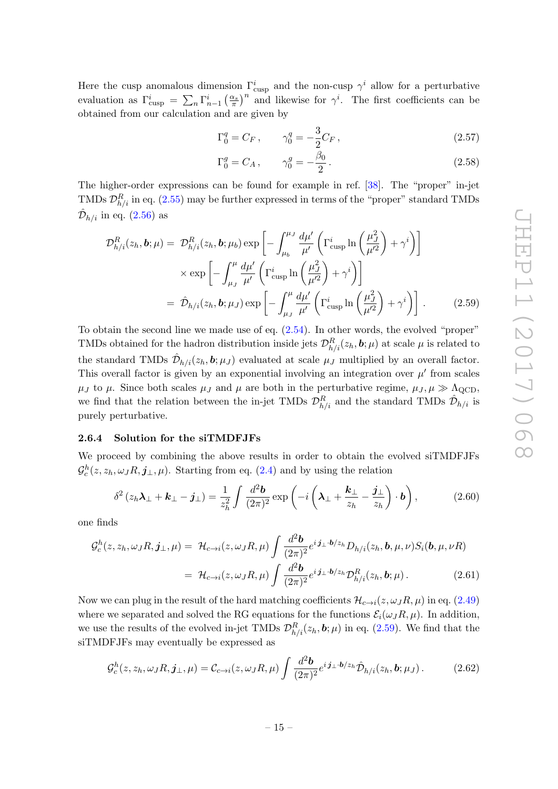Here the cusp anomalous dimension  $\Gamma_{\text{cusp}}^i$  and the non-cusp  $\gamma^i$  allow for a perturbative evaluation as  $\Gamma_{\text{cusp}}^i = \sum_n \Gamma_{n-1}^i \left(\frac{\alpha_s}{\pi}\right)^n$  and likewise for  $\gamma^i$ . The first coefficients can be obtained from our calculation and are given by

$$
\Gamma_0^q = C_F \,, \qquad \gamma_0^q = -\frac{3}{2} C_F \,, \tag{2.57}
$$

<span id="page-15-1"></span>
$$
\Gamma_0^g = C_A \,, \qquad \gamma_0^g = -\frac{\beta_0}{2} \,. \tag{2.58}
$$

The higher-order expressions can be found for example in ref. [\[38\]](#page-25-0). The "proper" in-jet TMDs  $\mathcal{D}_{h/i}^R$  in eq. [\(2.55\)](#page-14-2) may be further expressed in terms of the "proper" standard TMDs  $\hat{\mathcal{D}}_{h/i}$  in eq. [\(2.56\)](#page-14-3) as

$$
\mathcal{D}_{h/i}^R(z_h, \mathbf{b}; \mu) = \mathcal{D}_{h/i}^R(z_h, \mathbf{b}; \mu_b) \exp\left[-\int_{\mu_b}^{\mu_J} \frac{d\mu'}{\mu'} \left(\Gamma_{\text{cusp}}^i \ln\left(\frac{\mu_J^2}{\mu'^2}\right) + \gamma^i\right)\right]
$$

$$
\times \exp\left[-\int_{\mu_J}^{\mu} \frac{d\mu'}{\mu'} \left(\Gamma_{\text{cusp}}^i \ln\left(\frac{\mu_J^2}{\mu'^2}\right) + \gamma^i\right)\right]
$$

$$
= \hat{\mathcal{D}}_{h/i}(z_h, \mathbf{b}; \mu_J) \exp\left[-\int_{\mu_J}^{\mu} \frac{d\mu'}{\mu'} \left(\Gamma_{\text{cusp}}^i \ln\left(\frac{\mu_J^2}{\mu'^2}\right) + \gamma^i\right)\right].
$$
(2.59)

To obtain the second line we made use of eq. [\(2.54\)](#page-14-4). In other words, the evolved "proper" TMDs obtained for the hadron distribution inside jets  $\mathcal{D}_{h/i}^R(z_h, \bm{b}; \mu)$  at scale  $\mu$  is related to the standard TMDs  $\hat{\mathcal{D}}_{h/i}(z_h, \mathbf{b}; \mu_J)$  evaluated at scale  $\mu_J$  multiplied by an overall factor. This overall factor is given by an exponential involving an integration over  $\mu'$  from scales  $\mu_J$  to  $\mu$ . Since both scales  $\mu_J$  and  $\mu$  are both in the perturbative regime,  $\mu_J, \mu \gg \Lambda_{\text{QCD}}$ , we find that the relation between the in-jet TMDs  $\mathcal{D}_{h/i}^R$  and the standard TMDs  $\hat{\mathcal{D}}_{h/i}$  is purely perturbative.

#### <span id="page-15-0"></span>2.6.4 Solution for the siTMDFJFs

We proceed by combining the above results in order to obtain the evolved siTMDFJFs  $\mathcal{G}_c^h(z, z_h, \omega_J R, \mathbf{j}_{\perp}, \mu)$ . Starting from eq. [\(2.4\)](#page-5-1) and by using the relation

$$
\delta^2 (z_h \lambda_\perp + k_\perp - j_\perp) = \frac{1}{z_h^2} \int \frac{d^2 \mathbf{b}}{(2\pi)^2} \exp \left( -i \left( \lambda_\perp + \frac{k_\perp}{z_h} - \frac{j_\perp}{z_h} \right) \cdot \mathbf{b} \right), \tag{2.60}
$$

one finds

$$
\mathcal{G}_c^h(z, z_h, \omega_J R, \mathbf{j}_\perp, \mu) = \mathcal{H}_{c \to i}(z, \omega_J R, \mu) \int \frac{d^2 \mathbf{b}}{(2\pi)^2} e^{i \mathbf{j}_\perp \cdot \mathbf{b}/z_h} D_{h/i}(z_h, \mathbf{b}, \mu, \nu) S_i(\mathbf{b}, \mu, \nu R)
$$

$$
= \mathcal{H}_{c \to i}(z, \omega_J R, \mu) \int \frac{d^2 \mathbf{b}}{(2\pi)^2} e^{i \mathbf{j}_\perp \cdot \mathbf{b}/z_h} \mathcal{D}_{h/i}^R(z_h, \mathbf{b}; \mu).
$$
(2.61)

Now we can plug in the result of the hard matching coefficients  $\mathcal{H}_{c\to i}(z,\omega_J R,\mu)$  in eq. [\(2.49\)](#page-13-3) where we separated and solved the RG equations for the functions  $\mathcal{E}_i(\omega_J R, \mu)$ . In addition, we use the results of the evolved in-jet TMDs  $\mathcal{D}_{h/i}^R(z_h, b; \mu)$  in eq. [\(2.59\)](#page-15-1). We find that the siTMDFJFs may eventually be expressed as

<span id="page-15-2"></span>
$$
\mathcal{G}_c^h(z, z_h, \omega_J R, \mathbf{j}_{\perp}, \mu) = \mathcal{C}_{c \to i}(z, \omega_J R, \mu) \int \frac{d^2 \mathbf{b}}{(2\pi)^2} e^{i \mathbf{j}_{\perp} \cdot \mathbf{b}/z_h} \hat{\mathcal{D}}_{h/i}(z_h, \mathbf{b}; \mu_J). \tag{2.62}
$$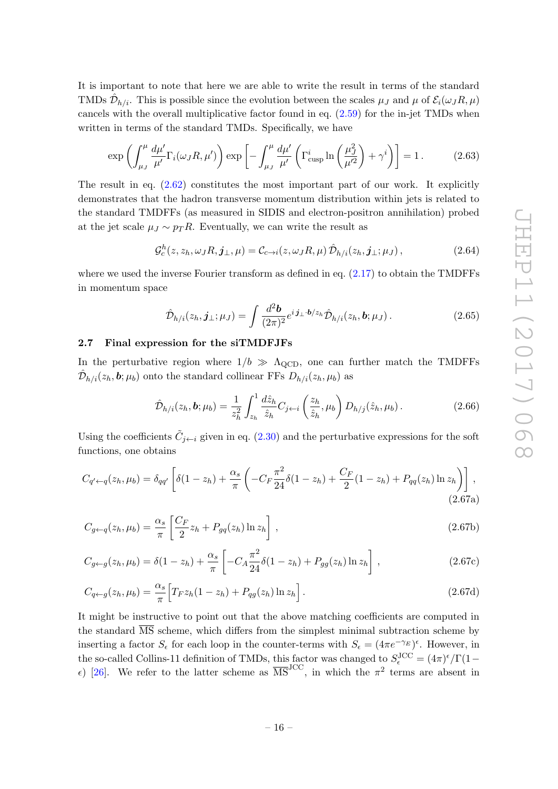It is important to note that here we are able to write the result in terms of the standard TMDs  $\hat{\mathcal{D}}_{h/i}$ . This is possible since the evolution between the scales  $\mu_J$  and  $\mu$  of  $\mathcal{E}_i(\omega_J R, \mu)$ cancels with the overall multiplicative factor found in eq.  $(2.59)$  for the in-jet TMDs when written in terms of the standard TMDs. Specifically, we have

$$
\exp\left(\int_{\mu_J}^{\mu} \frac{d\mu'}{\mu'} \Gamma_i(\omega_J R, \mu')\right) \exp\left[-\int_{\mu_J}^{\mu} \frac{d\mu'}{\mu'} \left(\Gamma^i_{\text{cusp}} \ln\left(\frac{\mu_J^2}{\mu'^2}\right) + \gamma^i\right)\right] = 1. \tag{2.63}
$$

The result in eq.  $(2.62)$  constitutes the most important part of our work. It explicitly demonstrates that the hadron transverse momentum distribution within jets is related to the standard TMDFFs (as measured in SIDIS and electron-positron annihilation) probed at the jet scale  $\mu_J \sim p_T R$ . Eventually, we can write the result as

$$
\mathcal{G}_c^h(z, z_h, \omega_J R, \mathbf{j}_{\perp}, \mu) = \mathcal{C}_{c \to i}(z, \omega_J R, \mu) \,\hat{\mathcal{D}}_{h/i}(z_h, \mathbf{j}_{\perp}; \mu_J),\tag{2.64}
$$

where we used the inverse Fourier transform as defined in eq.  $(2.17)$  to obtain the TMDFFs in momentum space

<span id="page-16-3"></span><span id="page-16-2"></span>
$$
\hat{\mathcal{D}}_{h/i}(z_h, \mathbf{j}_{\perp}; \mu_J) = \int \frac{d^2 \mathbf{b}}{(2\pi)^2} e^{i \mathbf{j}_{\perp} \cdot \mathbf{b}/z_h} \hat{\mathcal{D}}_{h/i}(z_h, \mathbf{b}; \mu_J). \tag{2.65}
$$

# <span id="page-16-0"></span>2.7 Final expression for the siTMDFJFs

In the perturbative region where  $1/b \gg \Lambda_{\rm QCD}$ , one can further match the TMDFFs  $\hat{\mathcal{D}}_{h/i}(z_h, \boldsymbol{b}; \mu_b)$  onto the standard collinear FFs  $D_{h/i}(z_h, \mu_b)$  as

<span id="page-16-1"></span>
$$
\hat{\mathcal{D}}_{h/i}(z_h, \mathbf{b}; \mu_b) = \frac{1}{z_h^2} \int_{z_h}^1 \frac{d\hat{z}_h}{\hat{z}_h} C_{j \leftarrow i} \left(\frac{z_h}{\hat{z}_h}, \mu_b\right) D_{h/j}(\hat{z}_h, \mu_b).
$$
\n(2.66)

Using the coefficients  $\tilde{C}_{j \leftarrow i}$  given in eq. [\(2.30\)](#page-9-1) and the perturbative expressions for the soft functions, one obtains

$$
C_{q' \leftarrow q}(z_h, \mu_b) = \delta_{qq'} \left[ \delta(1 - z_h) + \frac{\alpha_s}{\pi} \left( -C_F \frac{\pi^2}{24} \delta(1 - z_h) + \frac{C_F}{2} (1 - z_h) + P_{qq}(z_h) \ln z_h \right) \right],
$$
\n(2.67a)

$$
C_{g \leftarrow q}(z_h, \mu_b) = \frac{\alpha_s}{\pi} \left[ \frac{C_F}{2} z_h + P_{gq}(z_h) \ln z_h \right],
$$
\n(2.67b)

$$
C_{g \leftarrow g}(z_h, \mu_b) = \delta(1 - z_h) + \frac{\alpha_s}{\pi} \left[ -C_A \frac{\pi^2}{24} \delta(1 - z_h) + P_{gg}(z_h) \ln z_h \right],
$$
 (2.67c)

$$
C_{q \leftarrow g}(z_h, \mu_b) = \frac{\alpha_s}{\pi} \Big[ T_F z_h (1 - z_h) + P_{qg}(z_h) \ln z_h \Big].
$$
 (2.67d)

It might be instructive to point out that the above matching coefficients are computed in the standard  $\overline{\text{MS}}$  scheme, which differs from the simplest minimal subtraction scheme by inserting a factor  $S_{\epsilon}$  for each loop in the counter-terms with  $S_{\epsilon} = (4\pi e^{-\gamma_E})^{\epsilon}$ . However, in the so-called Collins-11 definition of TMDs, this factor was changed to  $S_{\epsilon}^{\text{JCC}} = (4\pi)^{\epsilon}/\Gamma(1-\epsilon)$  $\epsilon$ ) [\[26\]](#page-24-5). We refer to the latter scheme as  $\overline{\text{MS}}^{\text{JCC}}$ , in which the π<sup>2</sup> terms are absent in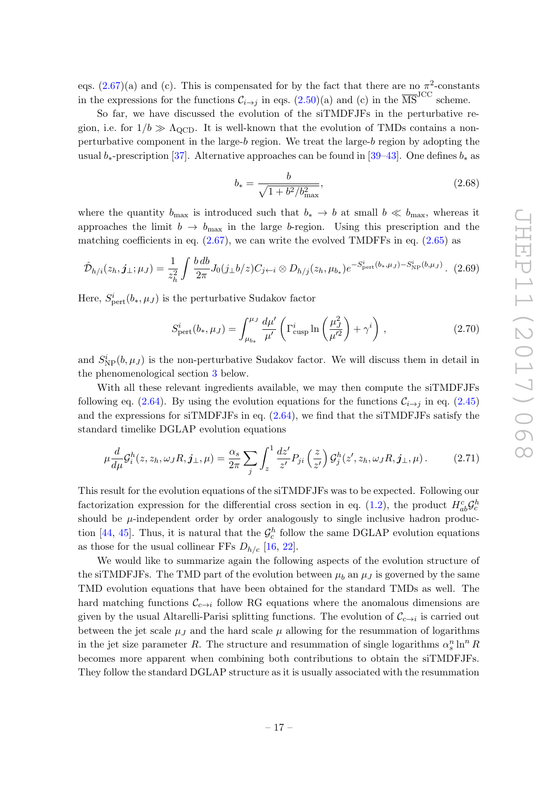eqs.  $(2.67)(a)$  and (c). This is compensated for by the fact that there are no  $\pi^2$ -constants in the expressions for the functions  $C_{i\to j}$  in eqs. [\(2.50\)](#page-13-4)(a) and (c) in the  $\overline{\text{MS}}^{\text{JCC}}$  scheme.

So far, we have discussed the evolution of the siTMDFJFs in the perturbative region, i.e. for  $1/b \gg \Lambda_{\text{QCD}}$ . It is well-known that the evolution of TMDs contains a nonperturbative component in the large- $b$  region. We treat the large- $b$  region by adopting the usual  $b_*$ -prescription [\[37\]](#page-24-15). Alternative approaches can be found in [\[39–](#page-25-1)[43\]](#page-25-2). One defines  $b_*$  as

<span id="page-17-1"></span>
$$
b_* = \frac{b}{\sqrt{1 + b^2/b_{\text{max}}^2}},\tag{2.68}
$$

where the quantity  $b_{\text{max}}$  is introduced such that  $b_* \to b$  at small  $b \ll b_{\text{max}}$ , whereas it approaches the limit  $b \to b_{\text{max}}$  in the large b-region. Using this prescription and the matching coefficients in eq.  $(2.67)$ , we can write the evolved TMDFFs in eq.  $(2.65)$  as

$$
\hat{\mathcal{D}}_{h/i}(z_h, \mathbf{j}_{\perp}; \mu_J) = \frac{1}{z_h^2} \int \frac{b \, db}{2\pi} J_0(j_{\perp} b/z) C_{j \leftarrow i} \otimes D_{h/j}(z_h, \mu_{b_*}) e^{-S_{\text{pert}}^i(b_*, \mu_J) - S_{\text{NP}}^i(b, \mu_J)}.
$$
 (2.69)

Here,  $S_{\text{pert}}^i(b_*, \mu_J)$  is the perturbative Sudakov factor

<span id="page-17-0"></span>
$$
S_{\text{pert}}^i(b_*, \mu_J) = \int_{\mu_{b_*}}^{\mu_J} \frac{d\mu'}{\mu'} \left( \Gamma_{\text{cusp}}^i \ln \left( \frac{\mu_J^2}{\mu'^2} \right) + \gamma^i \right), \qquad (2.70)
$$

and  $S_{\rm NP}^i(b,\mu_J)$  is the non-perturbative Sudakov factor. We will discuss them in detail in the phenomenological section [3](#page-18-0) below.

With all these relevant ingredients available, we may then compute the siTMDFJFs following eq. [\(2.64\)](#page-16-3). By using the evolution equations for the functions  $\mathcal{C}_{i\rightarrow j}$  in eq. [\(2.45\)](#page-13-2) and the expressions for siTMDFJFs in eq.  $(2.64)$ , we find that the siTMDFJFs satisfy the standard timelike DGLAP evolution equations

$$
\mu \frac{d}{d\mu} \mathcal{G}_i^h(z, z_h, \omega_J R, \mathbf{j}_\perp, \mu) = \frac{\alpha_s}{2\pi} \sum_j \int_z^1 \frac{dz'}{z'} P_{ji} \left(\frac{z}{z'}\right) \mathcal{G}_j^h(z', z_h, \omega_J R, \mathbf{j}_\perp, \mu). \tag{2.71}
$$

This result for the evolution equations of the siTMDFJFs was to be expected. Following our factorization expression for the differential cross section in eq. [\(1.2\)](#page-2-1), the product  $H_{ab}^c \mathcal{G}_c^h$ should be  $\mu$ -independent order by order analogously to single inclusive hadron produc-tion [\[44,](#page-25-3) [45\]](#page-25-4). Thus, it is natural that the  $\mathcal{G}_c^h$  follow the same DGLAP evolution equations as those for the usual collinear FFs  $D_{h/c}$  [\[16,](#page-23-10) [22\]](#page-24-1).

We would like to summarize again the following aspects of the evolution structure of the siTMDFJFs. The TMD part of the evolution between  $\mu_b$  an  $\mu_J$  is governed by the same TMD evolution equations that have been obtained for the standard TMDs as well. The hard matching functions  $\mathcal{C}_{c\to i}$  follow RG equations where the anomalous dimensions are given by the usual Altarelli-Parisi splitting functions. The evolution of  $\mathcal{C}_{c\to i}$  is carried out between the jet scale  $\mu_J$  and the hard scale  $\mu$  allowing for the resummation of logarithms in the jet size parameter R. The structure and resummation of single logarithms  $\alpha_s^n \ln^n R$ becomes more apparent when combining both contributions to obtain the siTMDFJFs. They follow the standard DGLAP structure as it is usually associated with the resummation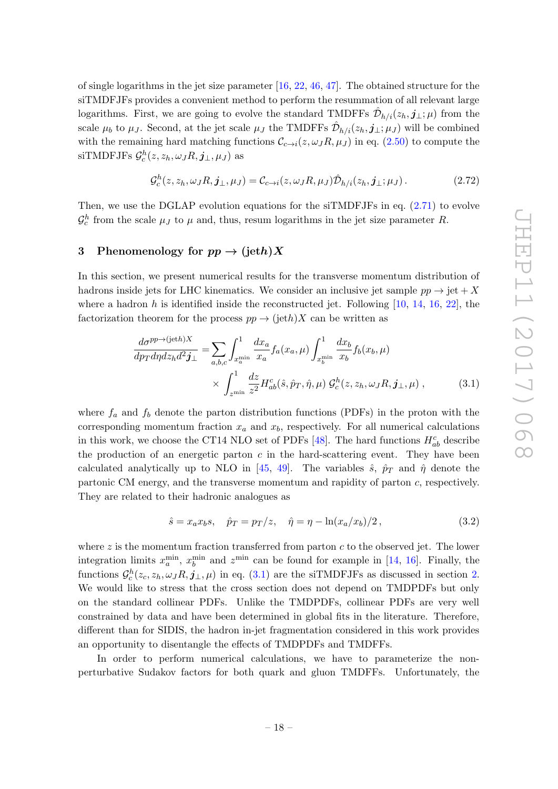of single logarithms in the jet size parameter  $[16, 22, 46, 47]$  $[16, 22, 46, 47]$  $[16, 22, 46, 47]$  $[16, 22, 46, 47]$  $[16, 22, 46, 47]$  $[16, 22, 46, 47]$ . The obtained structure for the siTMDFJFs provides a convenient method to perform the resummation of all relevant large logarithms. First, we are going to evolve the standard TMDFFs  $\hat{\mathcal{D}}_{h/i}(z_h, j_\perp; \mu)$  from the scale  $\mu_b$  to  $\mu_J$ . Second, at the jet scale  $\mu_J$  the TMDFFs  $\hat{\mathcal{D}}_{h/i}(z_h, \mathbf{j}_{\perp}; \mu_J)$  will be combined with the remaining hard matching functions  $\mathcal{C}_{c\to i}(z,\omega_J R,\mu_J)$  in eq. [\(2.50\)](#page-13-4) to compute the siTMDFJFs  $\mathcal{G}_c^h(z,z_h,\omega_J R,\pmb{j}_\perp,\mu_J)$  as

$$
\mathcal{G}_c^h(z, z_h, \omega_J R, \mathbf{j}_{\perp}, \mu_J) = \mathcal{C}_{c \to i}(z, \omega_J R, \mu_J) \hat{\mathcal{D}}_{h/i}(z_h, \mathbf{j}_{\perp}; \mu_J). \tag{2.72}
$$

Then, we use the DGLAP evolution equations for the siTMDFJFs in eq. [\(2.71\)](#page-17-0) to evolve  $\mathcal{G}_c^h$  from the scale  $\mu_J$  to  $\mu$  and, thus, resum logarithms in the jet size parameter R.

# <span id="page-18-0"></span>3 Phenomenology for  $pp \rightarrow (jeth)X$

In this section, we present numerical results for the transverse momentum distribution of hadrons inside jets for LHC kinematics. We consider an inclusive jet sample  $pp \rightarrow jet + X$ where a hadron h is identified inside the reconstructed jet. Following  $[10, 14, 16, 22]$  $[10, 14, 16, 22]$  $[10, 14, 16, 22]$  $[10, 14, 16, 22]$  $[10, 14, 16, 22]$  $[10, 14, 16, 22]$ , the factorization theorem for the process  $pp \rightarrow (j \in h)X$  can be written as

$$
\frac{d\sigma^{pp \to (jeth)X}}{dp_T dp dz_h d^2 \mathbf{j}_{\perp}} = \sum_{a,b,c} \int_{x_a^{\min}}^1 \frac{dx_a}{x_a} f_a(x_a,\mu) \int_{x_b^{\min}}^1 \frac{dx_b}{x_b} f_b(x_b,\mu)
$$
\n
$$
\times \int_{z^{\min}}^1 \frac{dz}{z^2} H_{ab}^c(\hat{s}, \hat{p}_T, \hat{\eta}, \mu) \mathcal{G}_c^h(z, z_h, \omega_J R, \mathbf{j}_{\perp}, \mu) , \qquad (3.1)
$$

where  $f_a$  and  $f_b$  denote the parton distribution functions (PDFs) in the proton with the corresponding momentum fraction  $x_a$  and  $x_b$ , respectively. For all numerical calculations in this work, we choose the CT14 NLO set of PDFs [\[48\]](#page-25-7). The hard functions  $H_{ab}^c$  describe the production of an energetic parton  $c$  in the hard-scattering event. They have been calculated analytically up to NLO in [\[45,](#page-25-4) [49\]](#page-25-8). The variables  $\hat{s}$ ,  $\hat{p}_T$  and  $\hat{\eta}$  denote the partonic CM energy, and the transverse momentum and rapidity of parton c, respectively. They are related to their hadronic analogues as

<span id="page-18-1"></span>
$$
\hat{s} = x_a x_b s, \quad \hat{p}_T = p_T/z, \quad \hat{\eta} = \eta - \ln(x_a/x_b)/2, \tag{3.2}
$$

where  $z$  is the momentum fraction transferred from parton  $c$  to the observed jet. The lower integration limits  $x_a^{\min}$ ,  $x_b^{\min}$  and  $z^{\min}$  can be found for example in [\[14,](#page-23-12) [16\]](#page-23-10). Finally, the functions  $\mathcal{G}_c^h(z_c, z_h, \omega_J R, j_\perp, \mu)$  in eq. [\(3.1\)](#page-18-1) are the siTMDFJFs as discussed in section [2.](#page-3-0) We would like to stress that the cross section does not depend on TMDPDFs but only on the standard collinear PDFs. Unlike the TMDPDFs, collinear PDFs are very well constrained by data and have been determined in global fits in the literature. Therefore, different than for SIDIS, the hadron in-jet fragmentation considered in this work provides an opportunity to disentangle the effects of TMDPDFs and TMDFFs.

In order to perform numerical calculations, we have to parameterize the nonperturbative Sudakov factors for both quark and gluon TMDFFs. Unfortunately, the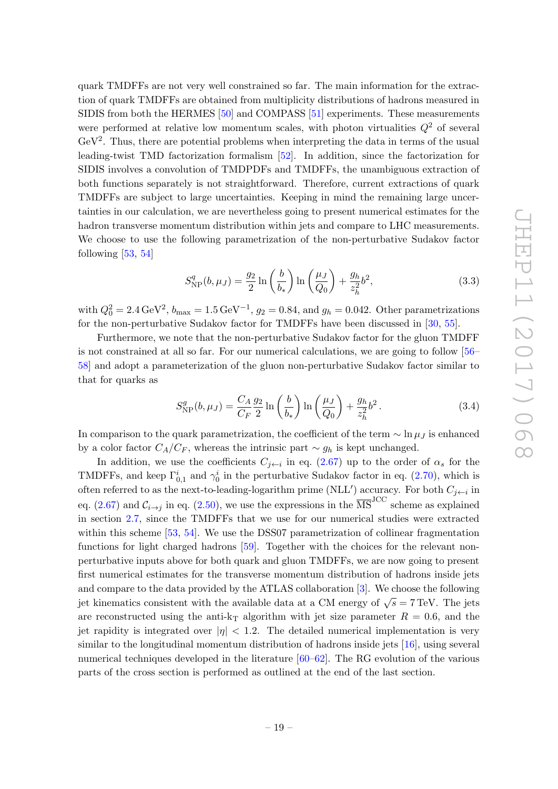quark TMDFFs are not very well constrained so far. The main information for the extraction of quark TMDFFs are obtained from multiplicity distributions of hadrons measured in SIDIS from both the HERMES [\[50\]](#page-25-9) and COMPASS [\[51\]](#page-25-10) experiments. These measurements were performed at relative low momentum scales, with photon virtualities  $Q^2$  of several  $GeV<sup>2</sup>$ . Thus, there are potential problems when interpreting the data in terms of the usual leading-twist TMD factorization formalism [\[52\]](#page-25-11). In addition, since the factorization for SIDIS involves a convolution of TMDPDFs and TMDFFs, the unambiguous extraction of both functions separately is not straightforward. Therefore, current extractions of quark TMDFFs are subject to large uncertainties. Keeping in mind the remaining large uncertainties in our calculation, we are nevertheless going to present numerical estimates for the hadron transverse momentum distribution within jets and compare to LHC measurements. We choose to use the following parametrization of the non-perturbative Sudakov factor following  $[53, 54]$  $[53, 54]$ 

$$
S_{\rm NP}^q(b,\mu_J) = \frac{g_2}{2} \ln\left(\frac{b}{b_*}\right) \ln\left(\frac{\mu_J}{Q_0}\right) + \frac{g_h}{z_h^2} b^2,\tag{3.3}
$$

with  $Q_0^2 = 2.4 \,\text{GeV}^2$ ,  $b_{\text{max}} = 1.5 \,\text{GeV}^{-1}$ ,  $g_2 = 0.84$ , and  $g_h = 0.042$ . Other parametrizations for the non-perturbative Sudakov factor for TMDFFs have been discussed in [\[30,](#page-24-9) [55\]](#page-25-14).

Furthermore, we note that the non-perturbative Sudakov factor for the gluon TMDFF is not constrained at all so far. For our numerical calculations, we are going to follow [\[56–](#page-26-0) [58\]](#page-26-1) and adopt a parameterization of the gluon non-perturbative Sudakov factor similar to that for quarks as

$$
S_{\rm NP}^g(b,\mu_J) = \frac{C_A}{C_F} \frac{g_2}{2} \ln\left(\frac{b}{b_*}\right) \ln\left(\frac{\mu_J}{Q_0}\right) + \frac{g_h}{z_h^2} b^2.
$$
 (3.4)

In comparison to the quark parametrization, the coefficient of the term  $\sim \ln \mu_J$  is enhanced by a color factor  $C_A/C_F$ , whereas the intrinsic part  $\sim g_h$  is kept unchanged.

In addition, we use the coefficients  $C_{j \leftarrow i}$  in eq. [\(2.67\)](#page-16-1) up to the order of  $\alpha_s$  for the TMDFFs, and keep  $\Gamma_{0,1}^{i}$  and  $\gamma_{0}^{i}$  in the perturbative Sudakov factor in eq. [\(2.70\)](#page-17-1), which is often referred to as the next-to-leading-logarithm prime (NLL') accuracy. For both  $C_{j \leftarrow i}$  in eq. [\(2.67\)](#page-16-1) and  $C_{i\rightarrow j}$  in eq. [\(2.50\)](#page-13-4), we use the expressions in the  $\overline{\text{MS}}^{\text{JCC}}$  scheme as explained in section [2.7,](#page-16-0) since the TMDFFs that we use for our numerical studies were extracted within this scheme [\[53,](#page-25-12) [54\]](#page-25-13). We use the DSS07 parametrization of collinear fragmentation functions for light charged hadrons [\[59\]](#page-26-2). Together with the choices for the relevant nonperturbative inputs above for both quark and gluon TMDFFs, we are now going to present first numerical estimates for the transverse momentum distribution of hadrons inside jets and compare to the data provided by the ATLAS collaboration [\[3\]](#page-23-2). We choose the following jet kinematics consistent with the available data at a CM energy of  $\sqrt{s} = 7$  TeV. The jets are reconstructed using the anti-k<sub>T</sub> algorithm with jet size parameter  $R = 0.6$ , and the jet rapidity is integrated over  $|\eta| < 1.2$ . The detailed numerical implementation is very similar to the longitudinal momentum distribution of hadrons inside jets [\[16\]](#page-23-10), using several numerical techniques developed in the literature [\[60](#page-26-3)[–62\]](#page-26-4). The RG evolution of the various parts of the cross section is performed as outlined at the end of the last section.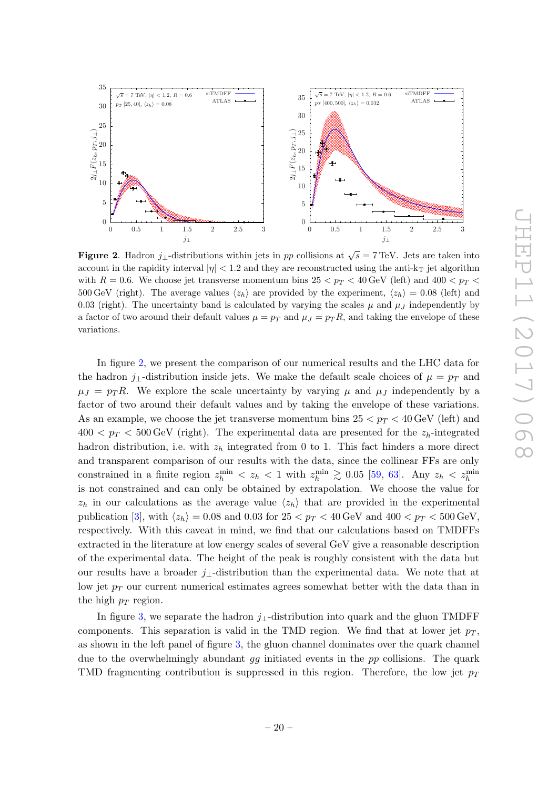

<span id="page-20-0"></span>**Figure 2.** Hadron  $j_{\perp}$ -distributions within jets in pp collisions at  $\sqrt{s} = 7 \text{ TeV}$ . Jets are taken into account in the rapidity interval  $|\eta| < 1.2$  and they are reconstructed using the anti-k<sub>T</sub> jet algorithm with  $R = 0.6$ . We choose jet transverse momentum bins  $25 < p_T < 40$  GeV (left) and  $400 < p_T <$ 500 GeV (right). The average values  $\langle z_h \rangle$  are provided by the experiment,  $\langle z_h \rangle = 0.08$  (left) and 0.03 (right). The uncertainty band is calculated by varying the scales  $\mu$  and  $\mu$ <sub>J</sub> independently by a factor of two around their default values  $\mu = p_T$  and  $\mu_J = p_T R$ , and taking the envelope of these variations.

In figure [2,](#page-20-0) we present the comparison of our numerical results and the LHC data for the hadron j⊥-distribution inside jets. We make the default scale choices of  $\mu = p_T$  and  $\mu_J = p_T R$ . We explore the scale uncertainty by varying  $\mu$  and  $\mu_J$  independently by a factor of two around their default values and by taking the envelope of these variations. As an example, we choose the jet transverse momentum bins  $25 < p_T < 40$  GeV (left) and  $400 < p_T < 500$  GeV (right). The experimental data are presented for the  $z_h$ -integrated hadron distribution, i.e. with  $z<sub>h</sub>$  integrated from 0 to 1. This fact hinders a more direct and transparent comparison of our results with the data, since the collinear FFs are only constrained in a finite region  $z_h^{\min} < z_h < 1$  with  $z_h^{\min} \ge 0.05$  [\[59,](#page-26-2) [63\]](#page-26-5). Any  $z_h < z_h^{\min}$ is not constrained and can only be obtained by extrapolation. We choose the value for  $z_h$  in our calculations as the average value  $\langle z_h \rangle$  that are provided in the experimental publication [\[3\]](#page-23-2), with  $\langle z_h \rangle = 0.08$  and 0.03 for  $25 < p_T < 40$  GeV and  $400 < p_T < 500$  GeV, respectively. With this caveat in mind, we find that our calculations based on TMDFFs extracted in the literature at low energy scales of several GeV give a reasonable description of the experimental data. The height of the peak is roughly consistent with the data but our results have a broader  $j_{\perp}$ -distribution than the experimental data. We note that at low jet  $p_T$  our current numerical estimates agrees somewhat better with the data than in the high  $p_T$  region.

In figure [3,](#page-21-1) we separate the hadron  $j_1$ -distribution into quark and the gluon TMDFF components. This separation is valid in the TMD region. We find that at lower jet  $p_T$ , as shown in the left panel of figure [3,](#page-21-1) the gluon channel dominates over the quark channel due to the overwhelmingly abundant  $gg$  initiated events in the  $pp$  collisions. The quark TMD fragmenting contribution is suppressed in this region. Therefore, the low jet  $p_T$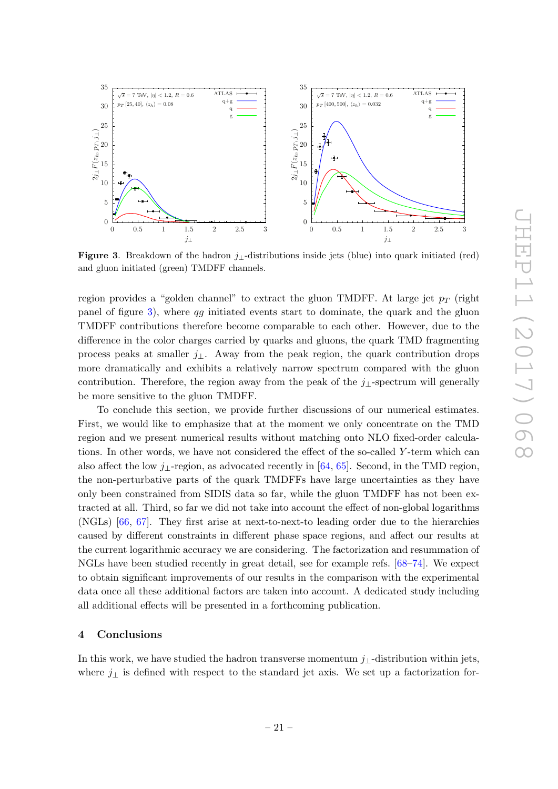

<span id="page-21-1"></span>Figure 3. Breakdown of the hadron  $j_{\perp}$ -distributions inside jets (blue) into quark initiated (red) and gluon initiated (green) TMDFF channels.

region provides a "golden channel" to extract the gluon TMDFF. At large jet  $p_T$  (right panel of figure [3\)](#page-21-1), where qg initiated events start to dominate, the quark and the gluon TMDFF contributions therefore become comparable to each other. However, due to the difference in the color charges carried by quarks and gluons, the quark TMD fragmenting process peaks at smaller  $j_{\perp}$ . Away from the peak region, the quark contribution drops more dramatically and exhibits a relatively narrow spectrum compared with the gluon contribution. Therefore, the region away from the peak of the  $j_{\perp}$ -spectrum will generally be more sensitive to the gluon TMDFF.

To conclude this section, we provide further discussions of our numerical estimates. First, we would like to emphasize that at the moment we only concentrate on the TMD region and we present numerical results without matching onto NLO fixed-order calculations. In other words, we have not considered the effect of the so-called Y -term which can also affect the low j⊥-region, as advocated recently in [\[64,](#page-26-6) [65\]](#page-26-7). Second, in the TMD region, the non-perturbative parts of the quark TMDFFs have large uncertainties as they have only been constrained from SIDIS data so far, while the gluon TMDFF has not been extracted at all. Third, so far we did not take into account the effect of non-global logarithms (NGLs) [\[66,](#page-26-8) [67\]](#page-26-9). They first arise at next-to-next-to leading order due to the hierarchies caused by different constraints in different phase space regions, and affect our results at the current logarithmic accuracy we are considering. The factorization and resummation of NGLs have been studied recently in great detail, see for example refs. [\[68–](#page-26-10)[74\]](#page-26-11). We expect to obtain significant improvements of our results in the comparison with the experimental data once all these additional factors are taken into account. A dedicated study including all additional effects will be presented in a forthcoming publication.

# <span id="page-21-0"></span>4 Conclusions

In this work, we have studied the hadron transverse momentum  $j_{\perp}$ -distribution within jets, where  $j_{\perp}$  is defined with respect to the standard jet axis. We set up a factorization for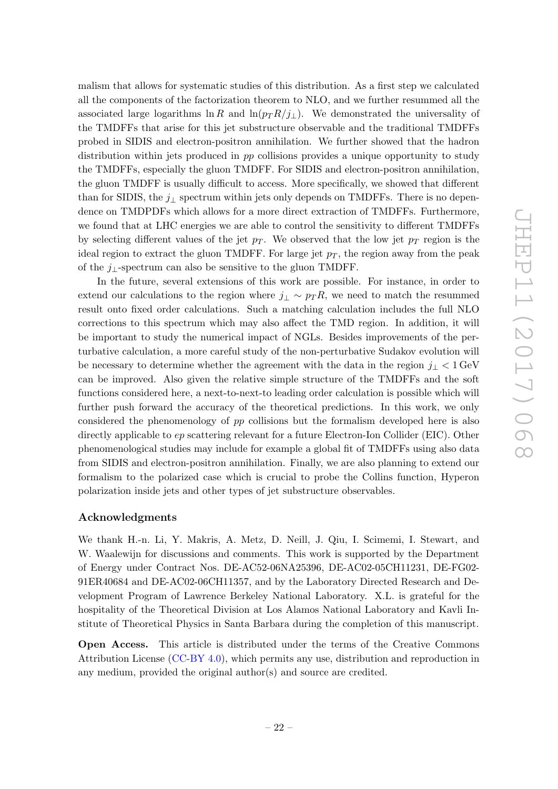malism that allows for systematic studies of this distribution. As a first step we calculated all the components of the factorization theorem to NLO, and we further resummed all the associated large logarithms ln R and ln( $p_T R/j_\perp$ ). We demonstrated the universality of the TMDFFs that arise for this jet substructure observable and the traditional TMDFFs probed in SIDIS and electron-positron annihilation. We further showed that the hadron distribution within jets produced in pp collisions provides a unique opportunity to study the TMDFFs, especially the gluon TMDFF. For SIDIS and electron-positron annihilation, the gluon TMDFF is usually difficult to access. More specifically, we showed that different than for SIDIS, the  $j_{\perp}$  spectrum within jets only depends on TMDFFs. There is no dependence on TMDPDFs which allows for a more direct extraction of TMDFFs. Furthermore, we found that at LHC energies we are able to control the sensitivity to different TMDFFs by selecting different values of the jet  $p_T$ . We observed that the low jet  $p_T$  region is the ideal region to extract the gluon TMDFF. For large jet  $p_T$ , the region away from the peak of the  $j_{\perp}$ -spectrum can also be sensitive to the gluon TMDFF.

In the future, several extensions of this work are possible. For instance, in order to extend our calculations to the region where  $j_{\perp} \sim p_{T} R$ , we need to match the resummed result onto fixed order calculations. Such a matching calculation includes the full NLO corrections to this spectrum which may also affect the TMD region. In addition, it will be important to study the numerical impact of NGLs. Besides improvements of the perturbative calculation, a more careful study of the non-perturbative Sudakov evolution will be necessary to determine whether the agreement with the data in the region  $j_1 < 1$  GeV can be improved. Also given the relative simple structure of the TMDFFs and the soft functions considered here, a next-to-next-to leading order calculation is possible which will further push forward the accuracy of the theoretical predictions. In this work, we only considered the phenomenology of pp collisions but the formalism developed here is also directly applicable to  $ep$  scattering relevant for a future Electron-Ion Collider (EIC). Other phenomenological studies may include for example a global fit of TMDFFs using also data from SIDIS and electron-positron annihilation. Finally, we are also planning to extend our formalism to the polarized case which is crucial to probe the Collins function, Hyperon polarization inside jets and other types of jet substructure observables.

# Acknowledgments

We thank H.-n. Li, Y. Makris, A. Metz, D. Neill, J. Qiu, I. Scimemi, I. Stewart, and W. Waalewijn for discussions and comments. This work is supported by the Department of Energy under Contract Nos. DE-AC52-06NA25396, DE-AC02-05CH11231, DE-FG02- 91ER40684 and DE-AC02-06CH11357, and by the Laboratory Directed Research and Development Program of Lawrence Berkeley National Laboratory. X.L. is grateful for the hospitality of the Theoretical Division at Los Alamos National Laboratory and Kavli Institute of Theoretical Physics in Santa Barbara during the completion of this manuscript.

Open Access. This article is distributed under the terms of the Creative Commons Attribution License [\(CC-BY 4.0\)](https://creativecommons.org/licenses/by/4.0/), which permits any use, distribution and reproduction in any medium, provided the original author(s) and source are credited.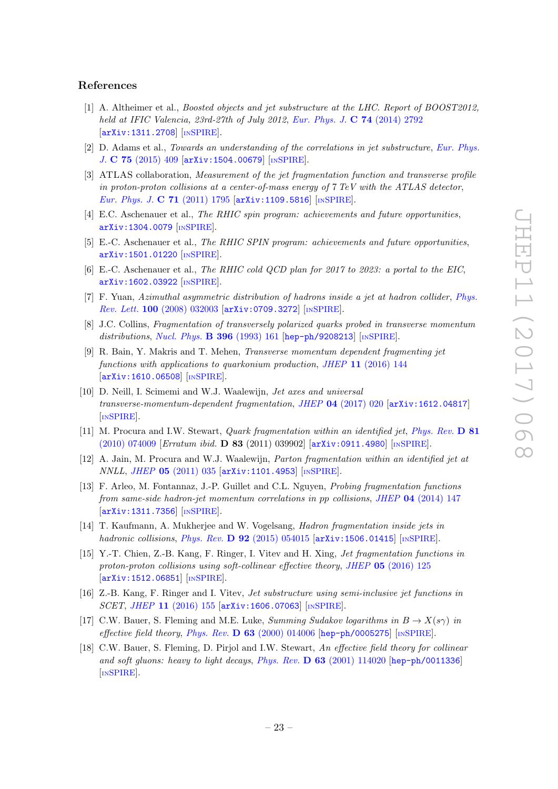# References

- <span id="page-23-0"></span>[1] A. Altheimer et al., *Boosted objects and jet substructure at the LHC. Report of BOOST2012*, held at IFIC Valencia, 23rd-27th of July 2012, [Eur. Phys. J.](https://doi.org/10.1140/epjc/s10052-014-2792-8) C 74 (2014) 2792 [[arXiv:1311.2708](https://arxiv.org/abs/1311.2708)] [IN[SPIRE](https://inspirehep.net/search?p=find+EPRINT+arXiv:1311.2708)].
- <span id="page-23-1"></span>[2] D. Adams et al., Towards an understanding of the correlations in jet substructure, [Eur. Phys.](https://doi.org/10.1140/epjc/s10052-015-3587-2) J. C 75 [\(2015\) 409](https://doi.org/10.1140/epjc/s10052-015-3587-2) [[arXiv:1504.00679](https://arxiv.org/abs/1504.00679)] [IN[SPIRE](https://inspirehep.net/search?p=find+EPRINT+arXiv:1504.00679)].
- <span id="page-23-2"></span>[3] ATLAS collaboration, Measurement of the jet fragmentation function and transverse profile in proton-proton collisions at a center-of-mass energy of  $7 \text{ TeV}$  with the ATLAS detector, [Eur. Phys. J.](https://doi.org/10.1140/epjc/s10052-011-1795-y) C 71 (2011) 1795 [[arXiv:1109.5816](https://arxiv.org/abs/1109.5816)] [IN[SPIRE](https://inspirehep.net/search?p=find+EPRINT+arXiv:1109.5816)].
- <span id="page-23-3"></span>[4] E.C. Aschenauer et al., The RHIC spin program: achievements and future opportunities, [arXiv:1304.0079](https://arxiv.org/abs/1304.0079) [IN[SPIRE](https://inspirehep.net/search?p=find+EPRINT+arXiv:1304.0079)].
- [5] E.-C. Aschenauer et al., The RHIC SPIN program: achievements and future opportunities, [arXiv:1501.01220](https://arxiv.org/abs/1501.01220) [IN[SPIRE](https://inspirehep.net/search?p=find+EPRINT+arXiv:1501.01220)].
- <span id="page-23-4"></span>[6] E.-C. Aschenauer et al., The RHIC cold QCD plan for 2017 to 2023: a portal to the EIC, [arXiv:1602.03922](https://arxiv.org/abs/1602.03922) [IN[SPIRE](https://inspirehep.net/search?p=find+EPRINT+arXiv:1602.03922)].
- <span id="page-23-5"></span>[7] F. Yuan, Azimuthal asymmetric distribution of hadrons inside a jet at hadron collider, [Phys.](https://doi.org/10.1103/PhysRevLett.100.032003) Rev. Lett. 100 [\(2008\) 032003](https://doi.org/10.1103/PhysRevLett.100.032003) [[arXiv:0709.3272](https://arxiv.org/abs/0709.3272)] [IN[SPIRE](https://inspirehep.net/search?p=find+EPRINT+arXiv:0709.3272)].
- <span id="page-23-6"></span>[8] J.C. Collins, Fragmentation of transversely polarized quarks probed in transverse momentum distributions, [Nucl. Phys.](https://doi.org/10.1016/0550-3213(93)90262-N) **B 396** (1993) 161 [[hep-ph/9208213](https://arxiv.org/abs/hep-ph/9208213)] [IN[SPIRE](https://inspirehep.net/search?p=find+EPRINT+hep-ph/9208213)].
- <span id="page-23-7"></span>[9] R. Bain, Y. Makris and T. Mehen, Transverse momentum dependent fragmenting jet functions with applications to quarkonium production, JHEP 11 [\(2016\) 144](https://doi.org/10.1007/JHEP11(2016)144) [[arXiv:1610.06508](https://arxiv.org/abs/1610.06508)] [IN[SPIRE](https://inspirehep.net/search?p=find+EPRINT+arXiv:1610.06508)].
- <span id="page-23-8"></span>[10] D. Neill, I. Scimemi and W.J. Waalewijn, Jet axes and universal transverse-momentum-dependent fragmentation, JHEP 04 [\(2017\) 020](https://doi.org/10.1007/JHEP04(2017)020) [[arXiv:1612.04817](https://arxiv.org/abs/1612.04817)] [IN[SPIRE](https://inspirehep.net/search?p=find+EPRINT+arXiv:1612.04817)].
- <span id="page-23-9"></span>[11] M. Procura and I.W. Stewart, *Quark fragmentation within an identified jet, [Phys. Rev.](https://doi.org/10.1103/PhysRevD.81.074009)* **D 81**  $(2010)$  074009 [*Erratum ibid.* **D 83** (2011) 039902] [[arXiv:0911.4980](https://arxiv.org/abs/0911.4980)] [IN[SPIRE](https://inspirehep.net/search?p=find+EPRINT+arXiv:0911.4980)].
- [12] A. Jain, M. Procura and W.J. Waalewijn, Parton fragmentation within an identified jet at NNLL, JHEP 05 [\(2011\) 035](https://doi.org/10.1007/JHEP05(2011)035) [[arXiv:1101.4953](https://arxiv.org/abs/1101.4953)] [IN[SPIRE](https://inspirehep.net/search?p=find+EPRINT+arXiv:1101.4953)].
- [13] F. Arleo, M. Fontannaz, J.-P. Guillet and C.L. Nguyen, Probing fragmentation functions from same-side hadron-jet momentum correlations in pp collisions, JHEP 04 [\(2014\) 147](https://doi.org/10.1007/JHEP04(2014)147) [[arXiv:1311.7356](https://arxiv.org/abs/1311.7356)] [IN[SPIRE](https://inspirehep.net/search?p=find+EPRINT+arXiv:1311.7356)].
- <span id="page-23-12"></span>[14] T. Kaufmann, A. Mukherjee and W. Vogelsang, Hadron fragmentation inside jets in hadronic collisions, Phys. Rev. D  $92$  [\(2015\) 054015](https://doi.org/10.1103/PhysRevD.92.054015) [[arXiv:1506.01415](https://arxiv.org/abs/1506.01415)] [IN[SPIRE](https://inspirehep.net/search?p=find+EPRINT+arXiv:1506.01415)].
- [15] Y.-T. Chien, Z.-B. Kang, F. Ringer, I. Vitev and H. Xing, Jet fragmentation functions in proton-proton collisions using soft-collinear effective theory, JHEP 05 [\(2016\) 125](https://doi.org/10.1007/JHEP05(2016)125) [[arXiv:1512.06851](https://arxiv.org/abs/1512.06851)] [IN[SPIRE](https://inspirehep.net/search?p=find+EPRINT+arXiv:1512.06851)].
- <span id="page-23-10"></span>[16] Z.-B. Kang, F. Ringer and I. Vitev, Jet substructure using semi-inclusive jet functions in SCET, JHEP 11 [\(2016\) 155](https://doi.org/10.1007/JHEP11(2016)155) [[arXiv:1606.07063](https://arxiv.org/abs/1606.07063)] [IN[SPIRE](https://inspirehep.net/search?p=find+EPRINT+arXiv:1606.07063)].
- <span id="page-23-11"></span>[17] C.W. Bauer, S. Fleming and M.E. Luke, Summing Sudakov logarithms in  $B \to X(s\gamma)$  in effective field theory, Phys. Rev.  $\bf{D}$  63 [\(2000\) 014006](https://doi.org/10.1103/PhysRevD.63.014006) [[hep-ph/0005275](https://arxiv.org/abs/hep-ph/0005275)] [IN[SPIRE](https://inspirehep.net/search?p=find+EPRINT+hep-ph/0005275)].
- [18] C.W. Bauer, S. Fleming, D. Pirjol and I.W. Stewart, An effective field theory for collinear and soft gluons: heavy to light decays, Phys. Rev. D 63 [\(2001\) 114020](https://doi.org/10.1103/PhysRevD.63.114020) [[hep-ph/0011336](https://arxiv.org/abs/hep-ph/0011336)] [IN[SPIRE](https://inspirehep.net/search?p=find+EPRINT+hep-ph/0011336)].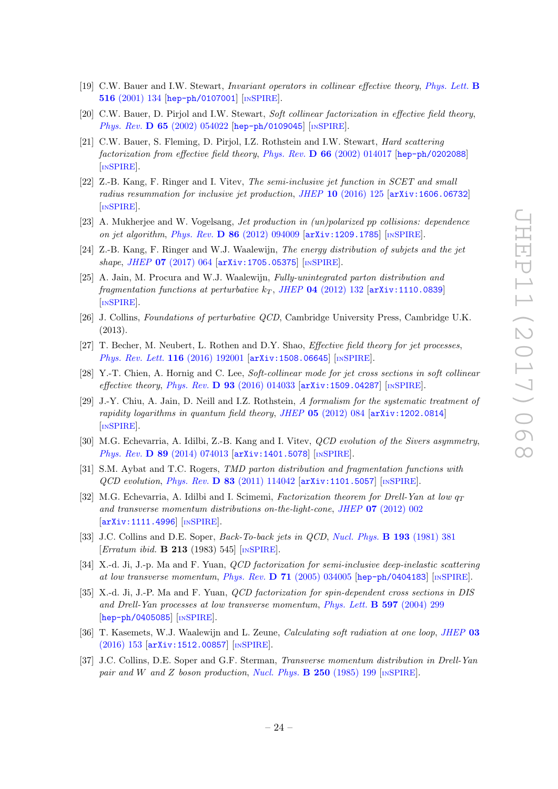- [19] C.W. Bauer and I.W. Stewart, Invariant operators in collinear effective theory, [Phys. Lett.](https://doi.org/10.1016/S0370-2693(01)00902-9) B 516 [\(2001\) 134](https://doi.org/10.1016/S0370-2693(01)00902-9) [[hep-ph/0107001](https://arxiv.org/abs/hep-ph/0107001)] [IN[SPIRE](https://inspirehep.net/search?p=find+EPRINT+hep-ph/0107001)].
- [20] C.W. Bauer, D. Pirjol and I.W. Stewart, Soft collinear factorization in effective field theory, Phys. Rev. **D 65** [\(2002\) 054022](https://doi.org/10.1103/PhysRevD.65.054022) [[hep-ph/0109045](https://arxiv.org/abs/hep-ph/0109045)] [IN[SPIRE](https://inspirehep.net/search?p=find+EPRINT+hep-ph/0109045)].
- <span id="page-24-0"></span>[21] C.W. Bauer, S. Fleming, D. Pirjol, I.Z. Rothstein and I.W. Stewart, Hard scattering factorization from effective field theory, Phys. Rev. D 66 [\(2002\) 014017](https://doi.org/10.1103/PhysRevD.66.014017) [[hep-ph/0202088](https://arxiv.org/abs/hep-ph/0202088)] [IN[SPIRE](https://inspirehep.net/search?p=find+EPRINT+hep-ph/0202088)].
- <span id="page-24-1"></span>[22] Z.-B. Kang, F. Ringer and I. Vitev, The semi-inclusive jet function in SCET and small radius resummation for inclusive jet production, JHEP 10 [\(2016\) 125](https://doi.org/10.1007/JHEP10(2016)125) [[arXiv:1606.06732](https://arxiv.org/abs/1606.06732)] [IN[SPIRE](https://inspirehep.net/search?p=find+EPRINT+arXiv:1606.06732)].
- <span id="page-24-2"></span>[23] A. Mukherjee and W. Vogelsang, Jet production in (un)polarized pp collisions: dependence on jet algorithm, Phys. Rev.  $D 86 (2012) 094009$  $D 86 (2012) 094009$   $[\text{arXiv:1209.1785}]$  $[\text{arXiv:1209.1785}]$  $[\text{arXiv:1209.1785}]$  [IN[SPIRE](https://inspirehep.net/search?p=find+EPRINT+arXiv:1209.1785)].
- <span id="page-24-3"></span>[24] Z.-B. Kang, F. Ringer and W.J. Waalewijn, The energy distribution of subjets and the jet shape, JHEP 07 [\(2017\) 064](https://doi.org/10.1007/JHEP07(2017)064) [[arXiv:1705.05375](https://arxiv.org/abs/1705.05375)] [IN[SPIRE](https://inspirehep.net/search?p=find+EPRINT+arXiv:1705.05375)].
- <span id="page-24-4"></span>[25] A. Jain, M. Procura and W.J. Waalewijn, Fully-unintegrated parton distribution and fragmentation functions at perturbative  $k_T$ , JHEP 04 [\(2012\) 132](https://doi.org/10.1007/JHEP04(2012)132) [[arXiv:1110.0839](https://arxiv.org/abs/1110.0839)] [IN[SPIRE](https://inspirehep.net/search?p=find+EPRINT+arXiv:1110.0839)].
- <span id="page-24-5"></span>[26] J. Collins, Foundations of perturbative QCD, Cambridge University Press, Cambridge U.K. (2013).
- <span id="page-24-6"></span>[27] T. Becher, M. Neubert, L. Rothen and D.Y. Shao, *Effective field theory for jet processes*, [Phys. Rev. Lett.](https://doi.org/10.1103/PhysRevLett.116.192001) 116 (2016) 192001 [[arXiv:1508.06645](https://arxiv.org/abs/1508.06645)] [IN[SPIRE](https://inspirehep.net/search?p=find+EPRINT+arXiv:1508.06645)].
- <span id="page-24-7"></span>[28] Y.-T. Chien, A. Hornig and C. Lee, Soft-collinear mode for jet cross sections in soft collinear effective theory, Phys. Rev. D  $93$  [\(2016\) 014033](https://doi.org/10.1103/PhysRevD.93.014033) [[arXiv:1509.04287](https://arxiv.org/abs/1509.04287)] [IN[SPIRE](https://inspirehep.net/search?p=find+EPRINT+arXiv:1509.04287)].
- <span id="page-24-8"></span>[29] J.-Y. Chiu, A. Jain, D. Neill and I.Z. Rothstein, A formalism for the systematic treatment of rapidity logarithms in quantum field theory, JHEP  $05$  [\(2012\) 084](https://doi.org/10.1007/JHEP05(2012)084) [[arXiv:1202.0814](https://arxiv.org/abs/1202.0814)] [IN[SPIRE](https://inspirehep.net/search?p=find+EPRINT+arXiv:1202.0814)].
- <span id="page-24-9"></span>[30] M.G. Echevarria, A. Idilbi, Z.-B. Kang and I. Vitev, QCD evolution of the Sivers asymmetry, Phys. Rev. D 89 [\(2014\) 074013](https://doi.org/10.1103/PhysRevD.89.074013) [[arXiv:1401.5078](https://arxiv.org/abs/1401.5078)] [IN[SPIRE](https://inspirehep.net/search?p=find+EPRINT+arXiv:1401.5078)].
- <span id="page-24-10"></span>[31] S.M. Aybat and T.C. Rogers, TMD parton distribution and fragmentation functions with  $QCD$  evolution, Phys. Rev. D 83 [\(2011\) 114042](https://doi.org/10.1103/PhysRevD.83.114042)  $\left[$ [arXiv:1101.5057](https://arxiv.org/abs/1101.5057) $\right]$  [IN[SPIRE](https://inspirehep.net/search?p=find+EPRINT+arXiv:1101.5057)].
- <span id="page-24-11"></span>[32] M.G. Echevarria, A. Idilbi and I. Scimemi, Factorization theorem for Drell-Yan at low  $q_T$ and transverse momentum distributions on-the-light-cone, JHEP 07 [\(2012\) 002](https://doi.org/10.1007/JHEP07(2012)002) [[arXiv:1111.4996](https://arxiv.org/abs/1111.4996)] [IN[SPIRE](https://inspirehep.net/search?p=find+EPRINT+arXiv:1111.4996)].
- <span id="page-24-12"></span>[33] J.C. Collins and D.E. Soper, *Back-To-back jets in QCD*, *[Nucl. Phys.](https://doi.org/10.1016/0550-3213(81)90339-4)* **B 193** (1981) 381 [Erratum ibid. B 213 (1983) 545] [IN[SPIRE](https://inspirehep.net/search?p=find+J+%22Nucl.Phys.,B193,381%22)].
- [34] X.-d. Ji, J.-p. Ma and F. Yuan, *QCD factorization for semi-inclusive deep-inelastic scattering* at low transverse momentum, Phys. Rev. D 71 [\(2005\) 034005](https://doi.org/10.1103/PhysRevD.71.034005) [[hep-ph/0404183](https://arxiv.org/abs/hep-ph/0404183)] [IN[SPIRE](https://inspirehep.net/search?p=find+EPRINT+hep-ph/0404183)].
- <span id="page-24-13"></span>[35] X.-d. Ji, J.-P. Ma and F. Yuan, *QCD factorization for spin-dependent cross sections in DIS* and Drell-Yan processes at low transverse momentum, [Phys. Lett.](https://doi.org/10.1016/j.physletb.2004.07.026) B 597 (2004) 299 [[hep-ph/0405085](https://arxiv.org/abs/hep-ph/0405085)] [IN[SPIRE](https://inspirehep.net/search?p=find+EPRINT+hep-ph/0405085)].
- <span id="page-24-14"></span>[36] T. Kasemets, W.J. Waalewijn and L. Zeune, Calculating soft radiation at one loop, [JHEP](https://doi.org/10.1007/JHEP03(2016)153) 03 [\(2016\) 153](https://doi.org/10.1007/JHEP03(2016)153) [[arXiv:1512.00857](https://arxiv.org/abs/1512.00857)] [IN[SPIRE](https://inspirehep.net/search?p=find+EPRINT+arXiv:1512.00857)].
- <span id="page-24-15"></span>[37] J.C. Collins, D.E. Soper and G.F. Sterman, Transverse momentum distribution in Drell-Yan pair and W and Z boson production, [Nucl. Phys.](https://doi.org/10.1016/0550-3213(85)90479-1)  $\bf{B}$  250 (1985) 199 [IN[SPIRE](https://inspirehep.net/search?p=find+J+%22Nucl.Phys.,B250,199%22)].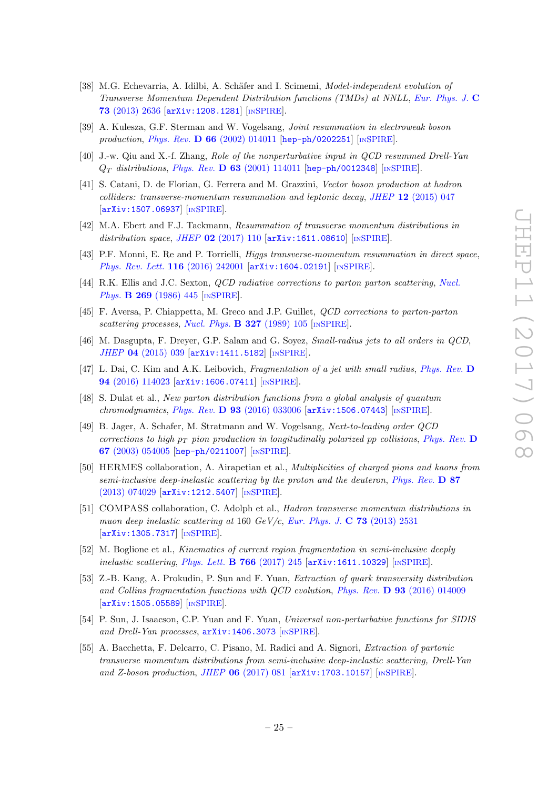- <span id="page-25-0"></span>[38] M.G. Echevarria, A. Idilbi, A. Schäfer and I. Scimemi, *Model-independent evolution of* Transverse Momentum Dependent Distribution functions (TMDs) at NNLL, [Eur. Phys. J.](https://doi.org/10.1140/epjc/s10052-013-2636-y) C 73 [\(2013\) 2636](https://doi.org/10.1140/epjc/s10052-013-2636-y) [[arXiv:1208.1281](https://arxiv.org/abs/1208.1281)] [IN[SPIRE](https://inspirehep.net/search?p=find+EPRINT+arXiv:1208.1281)].
- <span id="page-25-1"></span>[39] A. Kulesza, G.F. Sterman and W. Vogelsang, Joint resummation in electroweak boson production, Phys. Rev.  $\bf{D} 66$  [\(2002\) 014011](https://doi.org/10.1103/PhysRevD.66.014011) [[hep-ph/0202251](https://arxiv.org/abs/hep-ph/0202251)] [IN[SPIRE](https://inspirehep.net/search?p=find+EPRINT+hep-ph/0202251)].
- [40] J.-w. Qiu and X.-f. Zhang, Role of the nonperturbative input in QCD resummed Drell-Yan  $Q_T$  distributions, Phys. Rev. D 63 [\(2001\) 114011](https://doi.org/10.1103/PhysRevD.63.114011) [[hep-ph/0012348](https://arxiv.org/abs/hep-ph/0012348)] [IN[SPIRE](https://inspirehep.net/search?p=find+EPRINT+hep-ph/0012348)].
- [41] S. Catani, D. de Florian, G. Ferrera and M. Grazzini, Vector boson production at hadron  $colliders: transverse-momentum resummation and leptonic decay, JHEP 12 (2015) 047$  $colliders: transverse-momentum resummation and leptonic decay, JHEP 12 (2015) 047$ [[arXiv:1507.06937](https://arxiv.org/abs/1507.06937)] [IN[SPIRE](https://inspirehep.net/search?p=find+EPRINT+arXiv:1507.06937)].
- [42] M.A. Ebert and F.J. Tackmann, Resummation of transverse momentum distributions in distribution space, JHEP  $02$  [\(2017\) 110](https://doi.org/10.1007/JHEP02(2017)110) [[arXiv:1611.08610](https://arxiv.org/abs/1611.08610)] [IN[SPIRE](https://inspirehep.net/search?p=find+EPRINT+arXiv:1611.08610)].
- <span id="page-25-2"></span>[43] P.F. Monni, E. Re and P. Torrielli, Higgs transverse-momentum resummation in direct space, [Phys. Rev. Lett.](https://doi.org/10.1103/PhysRevLett.116.242001) 116 (2016) 242001 [[arXiv:1604.02191](https://arxiv.org/abs/1604.02191)] [IN[SPIRE](https://inspirehep.net/search?p=find+EPRINT+arXiv:1604.02191)].
- <span id="page-25-3"></span>[44] R.K. Ellis and J.C. Sexton, *QCD radiative corrections to parton parton scattering*, *[Nucl.](https://doi.org/10.1016/0550-3213(86)90232-4)* Phys. **B 269** [\(1986\) 445](https://doi.org/10.1016/0550-3213(86)90232-4) [IN[SPIRE](https://inspirehep.net/search?p=find+J+%22Nucl.Phys.,B269,445%22)].
- <span id="page-25-4"></span>[45] F. Aversa, P. Chiappetta, M. Greco and J.P. Guillet, QCD corrections to parton-parton scattering processes, [Nucl. Phys.](https://doi.org/10.1016/0550-3213(89)90288-5)  $\bf{B}$  327 (1989) 105 [IN[SPIRE](https://inspirehep.net/search?p=find+J+%22Nucl.Phys.,B327,105%22)].
- <span id="page-25-5"></span>[46] M. Dasgupta, F. Dreyer, G.P. Salam and G. Soyez, Small-radius jets to all orders in QCD, JHEP 04 [\(2015\) 039](https://doi.org/10.1007/JHEP04(2015)039) [[arXiv:1411.5182](https://arxiv.org/abs/1411.5182)] [IN[SPIRE](https://inspirehep.net/search?p=find+EPRINT+arXiv:1411.5182)].
- <span id="page-25-6"></span>[47] L. Dai, C. Kim and A.K. Leibovich, Fragmentation of a jet with small radius, [Phys. Rev.](https://doi.org/10.1103/PhysRevD.94.114023) D 94 [\(2016\) 114023](https://doi.org/10.1103/PhysRevD.94.114023) [[arXiv:1606.07411](https://arxiv.org/abs/1606.07411)] [IN[SPIRE](https://inspirehep.net/search?p=find+EPRINT+arXiv:1606.07411)].
- <span id="page-25-7"></span>[48] S. Dulat et al., New parton distribution functions from a global analysis of quantum chromodynamics, Phys. Rev. D  $93$  [\(2016\) 033006](https://doi.org/10.1103/PhysRevD.93.033006) [[arXiv:1506.07443](https://arxiv.org/abs/1506.07443)] [IN[SPIRE](https://inspirehep.net/search?p=find+EPRINT+arXiv:1506.07443)].
- <span id="page-25-8"></span>[49] B. Jager, A. Schafer, M. Stratmann and W. Vogelsang, Next-to-leading order QCD corrections to high  $p_T$  pion production in longitudinally polarized pp collisions, [Phys. Rev.](https://doi.org/10.1103/PhysRevD.67.054005) D 67 [\(2003\) 054005](https://doi.org/10.1103/PhysRevD.67.054005) [[hep-ph/0211007](https://arxiv.org/abs/hep-ph/0211007)] [IN[SPIRE](https://inspirehep.net/search?p=find+EPRINT+hep-ph/0211007)].
- <span id="page-25-9"></span>[50] HERMES collaboration, A. Airapetian et al., Multiplicities of charged pions and kaons from semi-inclusive deep-inelastic scattering by the proton and the deuteron, [Phys. Rev.](https://doi.org/10.1103/PhysRevD.87.074029)  $\bf{D} 87$ [\(2013\) 074029](https://doi.org/10.1103/PhysRevD.87.074029) [[arXiv:1212.5407](https://arxiv.org/abs/1212.5407)] [IN[SPIRE](https://inspirehep.net/search?p=find+EPRINT+arXiv:1212.5407)].
- <span id="page-25-10"></span>[51] COMPASS collaboration, C. Adolph et al., Hadron transverse momentum distributions in muon deep inelastic scattering at 160  $GeV/c$ , [Eur. Phys. J.](https://doi.org/10.1140/epjc/s10052-013-2531-6) C 73 (2013) 2531 [[arXiv:1305.7317](https://arxiv.org/abs/1305.7317)] [IN[SPIRE](https://inspirehep.net/search?p=find+EPRINT+arXiv:1305.7317)].
- <span id="page-25-11"></span>[52] M. Boglione et al., Kinematics of current region fragmentation in semi-inclusive deeply inelastic scattering, [Phys. Lett.](https://doi.org/10.1016/j.physletb.2017.01.021) **B** 766 (2017) 245  $arXiv:1611.10329$  [IN[SPIRE](https://inspirehep.net/search?p=find+EPRINT+arXiv:1611.10329)].
- <span id="page-25-12"></span>[53] Z.-B. Kang, A. Prokudin, P. Sun and F. Yuan, Extraction of quark transversity distribution and Collins fragmentation functions with QCD evolution, Phys. Rev. D 93 [\(2016\) 014009](https://doi.org/10.1103/PhysRevD.93.014009) [[arXiv:1505.05589](https://arxiv.org/abs/1505.05589)] [IN[SPIRE](https://inspirehep.net/search?p=find+EPRINT+arXiv:1505.05589)].
- <span id="page-25-13"></span>[54] P. Sun, J. Isaacson, C.P. Yuan and F. Yuan, Universal non-perturbative functions for SIDIS and Drell-Yan processes,  $arXiv:1406.3073$  [IN[SPIRE](https://inspirehep.net/search?p=find+EPRINT+arXiv:1406.3073)].
- <span id="page-25-14"></span>[55] A. Bacchetta, F. Delcarro, C. Pisano, M. Radici and A. Signori, Extraction of partonic transverse momentum distributions from semi-inclusive deep-inelastic scattering, Drell-Yan and Z-boson production, JHEP  $06$  [\(2017\) 081](https://doi.org/10.1007/JHEP06(2017)081)  $\text{arXiv:1703.10157}$  $\text{arXiv:1703.10157}$  $\text{arXiv:1703.10157}$  [IN[SPIRE](https://inspirehep.net/search?p=find+EPRINT+arXiv:1703.10157)].